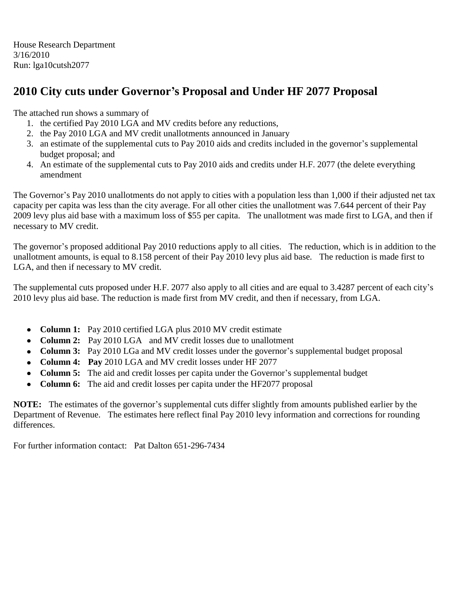House Research Department 3/16/2010 Run: lga10cutsh2077

### **2010 City cuts under Governor's Proposal and Under HF 2077 Proposal**

The attached run shows a summary of

- 1. the certified Pay 2010 LGA and MV credits before any reductions,
- 2. the Pay 2010 LGA and MV credit unallotments announced in January
- 3. an estimate of the supplemental cuts to Pay 2010 aids and credits included in the governor's supplemental budget proposal; and
- 4. An estimate of the supplemental cuts to Pay 2010 aids and credits under H.F. 2077 (the delete everything amendment

The Governor's Pay 2010 unallotments do not apply to cities with a population less than 1,000 if their adjusted net tax capacity per capita was less than the city average. For all other cities the unallotment was 7.644 percent of their Pay 2009 levy plus aid base with a maximum loss of \$55 per capita. The unallotment was made first to LGA, and then if necessary to MV credit.

The governor's proposed additional Pay 2010 reductions apply to all cities. The reduction, which is in addition to the unallotment amounts, is equal to 8.158 percent of their Pay 2010 levy plus aid base. The reduction is made first to LGA, and then if necessary to MV credit.

The supplemental cuts proposed under H.F. 2077 also apply to all cities and are equal to 3.4287 percent of each city's 2010 levy plus aid base. The reduction is made first from MV credit, and then if necessary, from LGA.

- **Column 1:** Pay 2010 certified LGA plus 2010 MV credit estimate  $\bullet$
- **Column 2:** Pay 2010 LGA and MV credit losses due to unallotment  $\bullet$
- **Column 3:** Pay 2010 LGa and MV credit losses under the governor's supplemental budget proposal
- **Column 4: Pay** 2010 LGA and MV credit losses under HF 2077
- **Column 5:** The aid and credit losses per capita under the Governor's supplemental budget  $\bullet$
- **Column 6:** The aid and credit losses per capita under the HF2077 proposal

**NOTE:** The estimates of the governor's supplemental cuts differ slightly from amounts published earlier by the Department of Revenue. The estimates here reflect final Pay 2010 levy information and corrections for rounding differences.

For further information contact: Pat Dalton 651-296-7434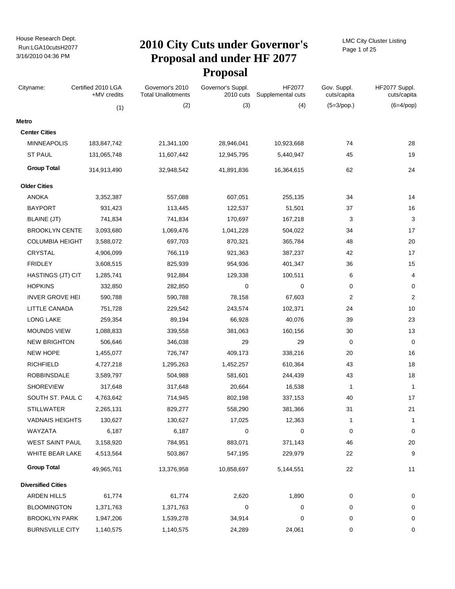# Run:LGA10cutsH2077 **2010 City Cuts under Governor's Proposal and under HF 2077 Proposal**

LMC City Cluster Listing Page 1 of 25

| Cityname:                 | Certified 2010 LGA<br>+MV credits | Governor's 2010<br><b>Total Unallotments</b> | Governor's Suppl.<br>2010 cuts | HF2077<br>Supplemental cuts | Gov. Suppl.<br>cuts/capita | HF2077 Suppl.<br>cuts/capita |
|---------------------------|-----------------------------------|----------------------------------------------|--------------------------------|-----------------------------|----------------------------|------------------------------|
|                           | (1)                               | (2)                                          | (3)                            | (4)                         | $(5=3$ /pop.)              | $(6=4$ /pop)                 |
| Metro                     |                                   |                                              |                                |                             |                            |                              |
| <b>Center Cities</b>      |                                   |                                              |                                |                             |                            |                              |
| <b>MINNEAPOLIS</b>        | 183,847,742                       | 21,341,100                                   | 28,946,041                     | 10,923,668                  | 74                         | 28                           |
| <b>ST PAUL</b>            | 131,065,748                       | 11,607,442                                   | 12,945,795                     | 5,440,947                   | 45                         | 19                           |
| <b>Group Total</b>        | 314,913,490                       | 32,948,542                                   | 41,891,836                     | 16,364,615                  | 62                         | 24                           |
| <b>Older Cities</b>       |                                   |                                              |                                |                             |                            |                              |
| <b>ANOKA</b>              | 3,352,387                         | 557,088                                      | 607,051                        | 255,135                     | 34                         | 14                           |
| <b>BAYPORT</b>            | 931,423                           | 113,445                                      | 122,537                        | 51,501                      | 37                         | 16                           |
| <b>BLAINE (JT)</b>        | 741,834                           | 741,834                                      | 170,697                        | 167,218                     | 3                          | 3                            |
| <b>BROOKLYN CENTE</b>     | 3,093,680                         | 1,069,476                                    | 1,041,228                      | 504,022                     | 34                         | 17                           |
| <b>COLUMBIA HEIGHT</b>    | 3,588,072                         | 697,703                                      | 870,321                        | 365,784                     | 48                         | 20                           |
| CRYSTAL                   | 4,906,099                         | 766,119                                      | 921,363                        | 387,237                     | 42                         | 17                           |
| <b>FRIDLEY</b>            | 3,608,515                         | 825,939                                      | 954,936                        | 401,347                     | 36                         | 15                           |
| HASTINGS (JT) CIT         | 1,285,741                         | 912,884                                      | 129,338                        | 100,511                     | 6                          | 4                            |
| <b>HOPKINS</b>            | 332,850                           | 282,850                                      | 0                              | 0                           | 0                          | 0                            |
| <b>INVER GROVE HEI</b>    | 590,788                           | 590,788                                      | 78,158                         | 67,603                      | 2                          | $\overline{2}$               |
| LITTLE CANADA             | 751,728                           | 229,542                                      | 243,574                        | 102,371                     | 24                         | 10                           |
| <b>LONG LAKE</b>          | 259,354                           | 89,194                                       | 66,928                         | 40,076                      | 39                         | 23                           |
| <b>MOUNDS VIEW</b>        | 1,088,833                         | 339,558                                      | 381,063                        | 160,156                     | 30                         | 13                           |
| <b>NEW BRIGHTON</b>       | 506,646                           | 346,038                                      | 29                             | 29                          | 0                          | 0                            |
| <b>NEW HOPE</b>           | 1,455,077                         | 726,747                                      | 409,173                        | 338,216                     | 20                         | 16                           |
| <b>RICHFIELD</b>          | 4,727,218                         | 1,295,263                                    | 1,452,257                      | 610,364                     | 43                         | 18                           |
| <b>ROBBINSDALE</b>        | 3,589,797                         | 504,988                                      | 581,601                        | 244,439                     | 43                         | 18                           |
| <b>SHOREVIEW</b>          | 317,648                           | 317,648                                      | 20,664                         | 16,538                      | 1                          | $\mathbf{1}$                 |
| SOUTH ST. PAUL C          | 4,763,642                         | 714,945                                      | 802,198                        | 337,153                     | 40                         | 17                           |
| <b>STILLWATER</b>         | 2,265,131                         | 829,277                                      | 558,290                        | 381,366                     | 31                         | 21                           |
| <b>VADNAIS HEIGHTS</b>    | 130,627                           | 130,627                                      | 17,025                         | 12,363                      | 1                          | $\mathbf{1}$                 |
| WAYZATA                   | 6,187                             | 6,187                                        | 0                              | 0                           | 0                          | 0                            |
| WEST SAINT PAUL           | 3,158,920                         | 784,951                                      | 883,071                        | 371,143                     | 46                         | 20                           |
| WHITE BEAR LAKE           | 4,513,564                         | 503,867                                      | 547,195                        | 229,979                     | 22                         | 9                            |
| <b>Group Total</b>        | 49,965,761                        | 13,376,958                                   | 10,858,697                     | 5,144,551                   | 22                         | 11                           |
| <b>Diversified Cities</b> |                                   |                                              |                                |                             |                            |                              |
| <b>ARDEN HILLS</b>        | 61,774                            | 61,774                                       | 2,620                          | 1,890                       | 0                          | 0                            |
| <b>BLOOMINGTON</b>        | 1,371,763                         | 1,371,763                                    | 0                              | 0                           | 0                          | 0                            |
| <b>BROOKLYN PARK</b>      | 1,947,206                         | 1,539,278                                    | 34,914                         | 0                           | 0                          | 0                            |
| <b>BURNSVILLE CITY</b>    | 1,140,575                         | 1,140,575                                    | 24,289                         | 24,061                      | 0                          | 0                            |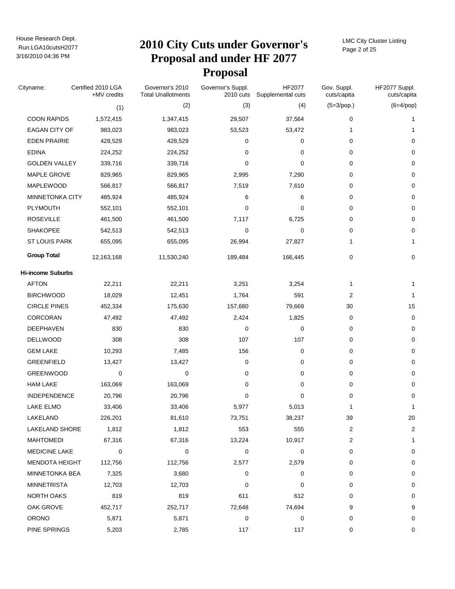# Run:LGA10cutsH2077 **2010 City Cuts under Governor's Proposal and under HF 2077 Proposal**

LMC City Cluster Listing Page 2 of 25

| Cityname:                | Certified 2010 LGA<br>+MV credits | Governor's 2010<br><b>Total Unallotments</b> | Governor's Suppl.<br>2010 cuts | HF2077<br>Supplemental cuts | Gov. Suppl.<br>cuts/capita | HF2077 Suppl.<br>cuts/capita |
|--------------------------|-----------------------------------|----------------------------------------------|--------------------------------|-----------------------------|----------------------------|------------------------------|
|                          | (1)                               | (2)                                          | (3)                            | (4)                         | $(5=3$ /pop.)              | $(6=4$ /pop)                 |
| <b>COON RAPIDS</b>       | 1,572,415                         | 1,347,415                                    | 29,507                         | 37,564                      | 0                          | 1                            |
| <b>EAGAN CITY OF</b>     | 983,023                           | 983,023                                      | 53,523                         | 53,472                      | 1                          | 1                            |
| <b>EDEN PRAIRIE</b>      | 428,529                           | 428,529                                      | 0                              | 0                           | 0                          | 0                            |
| <b>EDINA</b>             | 224,252                           | 224,252                                      | 0                              | 0                           | 0                          | 0                            |
| <b>GOLDEN VALLEY</b>     | 339,716                           | 339,716                                      | $\mathbf 0$                    | 0                           | 0                          | 0                            |
| MAPLE GROVE              | 829,965                           | 829,965                                      | 2,995                          | 7,290                       | 0                          | 0                            |
| MAPLEWOOD                | 566,817                           | 566,817                                      | 7,519                          | 7,610                       | 0                          | 0                            |
| MINNETONKA CITY          | 485,924                           | 485,924                                      | 6                              | 6                           | 0                          | 0                            |
| PLYMOUTH                 | 552,101                           | 552,101                                      | 0                              | 0                           | 0                          | 0                            |
| <b>ROSEVILLE</b>         | 461,500                           | 461,500                                      | 7,117                          | 6,725                       | 0                          | 0                            |
| <b>SHAKOPEE</b>          | 542,513                           | 542,513                                      | $\mathbf 0$                    | 0                           | 0                          | $\mathbf 0$                  |
| <b>ST LOUIS PARK</b>     | 655,095                           | 655,095                                      | 26,994                         | 27,827                      | 1                          | 1                            |
| <b>Group Total</b>       | 12,163,168                        | 11,530,240                                   | 189,484                        | 166,445                     | 0                          | 0                            |
| <b>Hi-income Suburbs</b> |                                   |                                              |                                |                             |                            |                              |
| <b>AFTON</b>             | 22,211                            | 22,211                                       | 3,251                          | 3,254                       | 1                          | 1                            |
| <b>BIRCHWOOD</b>         | 18,029                            | 12,451                                       | 1,764                          | 591                         | 2                          | $\mathbf{1}$                 |
| <b>CIRCLE PINES</b>      | 452,334                           | 175,630                                      | 157,680                        | 79,669                      | 30                         | 15                           |
| CORCORAN                 | 47,492                            | 47,492                                       | 2,424                          | 1,825                       | $\pmb{0}$                  | 0                            |
| DEEPHAVEN                | 830                               | 830                                          | 0                              | 0                           | 0                          | 0                            |
| <b>DELLWOOD</b>          | 308                               | 308                                          | 107                            | 107                         | $\pmb{0}$                  | 0                            |
| <b>GEM LAKE</b>          | 10,293                            | 7,485                                        | 156                            | 0                           | 0                          | 0                            |
| <b>GREENFIELD</b>        | 13,427                            | 13,427                                       | 0                              | 0                           | $\pmb{0}$                  | 0                            |
| <b>GREENWOOD</b>         | 0                                 | 0                                            | 0                              | 0                           | 0                          | $\mathbf 0$                  |
| <b>HAM LAKE</b>          | 163,069                           | 163,069                                      | 0                              | 0                           | $\pmb{0}$                  | 0                            |
| INDEPENDENCE             | 20,796                            | 20,796                                       | 0                              | 0                           | 0                          | 0                            |
| LAKE ELMO                | 33,406                            | 33,406                                       | 5,977                          | 5,013                       | 1                          | 1                            |
| LAKELAND                 | 226,201                           | 81,610                                       | 73,751                         | 38,237                      | 39                         | 20                           |
| LAKELAND SHORE           | 1,812                             | 1,812                                        | 553                            | 555                         | 2                          | 2                            |
| <b>MAHTOMEDI</b>         | 67,316                            | 67,316                                       | 13,224                         | 10,917                      | $\overline{c}$             | 1                            |
| <b>MEDICINE LAKE</b>     | 0                                 | 0                                            | 0                              | 0                           | 0                          | 0                            |
| <b>MENDOTA HEIGHT</b>    | 112,756                           | 112,756                                      | 2,577                          | 2,579                       | 0                          | 0                            |
| MINNETONKA BEA           | 7,325                             | 3,680                                        | 0                              | 0                           | 0                          | 0                            |
| <b>MINNETRISTA</b>       | 12,703                            | 12,703                                       | $\Omega$                       | 0                           | 0                          | 0                            |
| NORTH OAKS               | 819                               | 819                                          | 611                            | 612                         | 0                          | 0                            |
| OAK GROVE                | 452,717                           | 252,717                                      | 72,648                         | 74,694                      | 9                          | 9                            |
| <b>ORONO</b>             | 5,871                             | 5,871                                        | 0                              | 0                           | 0                          | 0                            |
| PINE SPRINGS             | 5,203                             | 2,785                                        | 117                            | 117                         | 0                          | 0                            |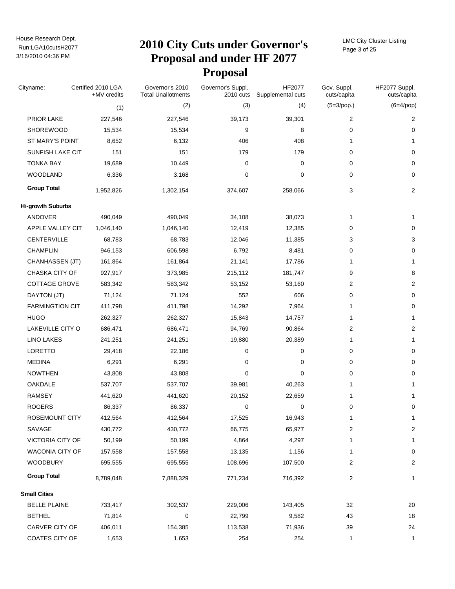# Run:LGA10cutsH2077 **2010 City Cuts under Governor's Proposal and under HF 2077 Proposal**

LMC City Cluster Listing Page 3 of 25

| Cityname:                | Certified 2010 LGA<br>+MV credits | Governor's 2010<br><b>Total Unallotments</b> | Governor's Suppl.<br>2010 cuts | HF2077<br>Supplemental cuts | Gov. Suppl.<br>cuts/capita | HF2077 Suppl.<br>cuts/capita |
|--------------------------|-----------------------------------|----------------------------------------------|--------------------------------|-----------------------------|----------------------------|------------------------------|
|                          | (1)                               | (2)                                          | (3)                            | (4)                         | $(5=3$ /pop.)              | $(6=4$ /pop)                 |
| PRIOR LAKE               | 227,546                           | 227,546                                      | 39,173                         | 39,301                      | 2                          | 2                            |
| <b>SHOREWOOD</b>         | 15,534                            | 15,534                                       | 9                              | 8                           | 0                          | 0                            |
| ST MARY'S POINT          | 8,652                             | 6,132                                        | 406                            | 408                         | 1                          | 1                            |
| SUNFISH LAKE CIT         | 151                               | 151                                          | 179                            | 179                         | 0                          | 0                            |
| <b>TONKA BAY</b>         | 19,689                            | 10,449                                       | 0                              | 0                           | 0                          | 0                            |
| <b>WOODLAND</b>          | 6,336                             | 3,168                                        | 0                              | $\mathbf 0$                 | 0                          | 0                            |
| <b>Group Total</b>       | 1,952,826                         | 1,302,154                                    | 374,607                        | 258,066                     | 3                          | 2                            |
| <b>Hi-growth Suburbs</b> |                                   |                                              |                                |                             |                            |                              |
| ANDOVER                  | 490,049                           | 490,049                                      | 34,108                         | 38,073                      | 1                          | 1                            |
| APPLE VALLEY CIT         | 1,046,140                         | 1,046,140                                    | 12,419                         | 12,385                      | 0                          | 0                            |
| <b>CENTERVILLE</b>       | 68,783                            | 68,783                                       | 12,046                         | 11,385                      | 3                          | 3                            |
| <b>CHAMPLIN</b>          | 946,153                           | 606,598                                      | 6,792                          | 8,481                       | 0                          | 0                            |
| CHANHASSEN (JT)          | 161,864                           | 161,864                                      | 21,141                         | 17,786                      | 1                          | 1                            |
| CHASKA CITY OF           | 927,917                           | 373,985                                      | 215,112                        | 181,747                     | 9                          | 8                            |
| <b>COTTAGE GROVE</b>     | 583,342                           | 583,342                                      | 53,152                         | 53,160                      | 2                          | 2                            |
| DAYTON (JT)              | 71,124                            | 71,124                                       | 552                            | 606                         | 0                          | 0                            |
| <b>FARMINGTION CIT</b>   | 411,798                           | 411,798                                      | 14,292                         | 7,964                       | 1                          | 0                            |
| <b>HUGO</b>              | 262,327                           | 262,327                                      | 15,843                         | 14,757                      | 1                          | 1                            |
| LAKEVILLE CITY O         | 686,471                           | 686,471                                      | 94,769                         | 90,864                      | 2                          | 2                            |
| <b>LINO LAKES</b>        | 241,251                           | 241,251                                      | 19,880                         | 20,389                      | 1                          | 1                            |
| LORETTO                  | 29,418                            | 22,186                                       | 0                              | 0                           | 0                          | 0                            |
| <b>MEDINA</b>            | 6,291                             | 6,291                                        | 0                              | 0                           | 0                          | 0                            |
| <b>NOWTHEN</b>           | 43,808                            | 43,808                                       | 0                              | 0                           | 0                          | 0                            |
| OAKDALE                  | 537,707                           | 537,707                                      | 39,981                         | 40,263                      | 1                          | 1                            |
| <b>RAMSEY</b>            | 441,620                           | 441,620                                      | 20,152                         | 22,659                      | 1                          | 1                            |
| <b>ROGERS</b>            | 86,337                            | 86,337                                       | 0                              | $\pmb{0}$                   | 0                          | 0                            |
| ROSEMOUNT CITY           | 412,564                           | 412,564                                      | 17,525                         | 16,943                      | 1                          | 1                            |
| SAVAGE                   | 430,772                           | 430,772                                      | 66,775                         | 65,977                      | 2                          | 2                            |
| VICTORIA CITY OF         | 50,199                            | 50,199                                       | 4,864                          | 4,297                       | 1                          | 1                            |
| WACONIA CITY OF          | 157,558                           | 157,558                                      | 13,135                         | 1,156                       | 1                          | 0                            |
| <b>WOODBURY</b>          | 695,555                           | 695,555                                      | 108,696                        | 107,500                     | 2                          | 2                            |
| <b>Group Total</b>       | 8,789,048                         | 7,888,329                                    | 771,234                        | 716,392                     | 2                          | $\mathbf{1}$                 |
| <b>Small Cities</b>      |                                   |                                              |                                |                             |                            |                              |
| <b>BELLE PLAINE</b>      | 733,417                           | 302,537                                      | 229,006                        | 143,405                     | 32                         | $20\,$                       |
| <b>BETHEL</b>            | 71,814                            | 0                                            | 22,799                         | 9,582                       | 43                         | 18                           |
| CARVER CITY OF           | 406,011                           | 154,385                                      | 113,538                        | 71,936                      | 39                         | 24                           |
| COATES CITY OF           | 1,653                             | 1,653                                        | 254                            | 254                         | 1                          | $\mathbf{1}$                 |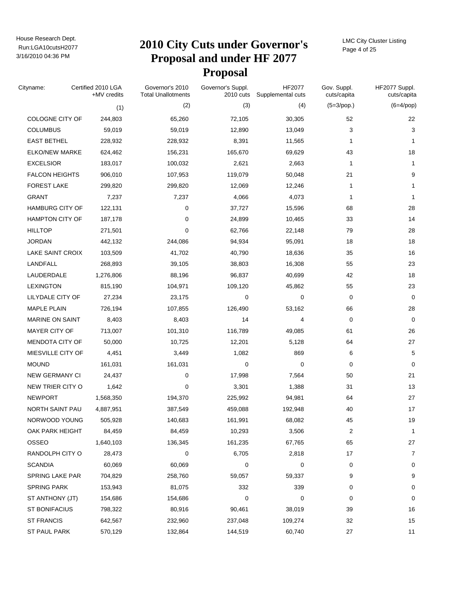### Run:LGA10cutsH2077 **2010 City Cuts under Governor's Proposal and under HF 2077 Proposal**

LMC City Cluster Listing Page 4 of 25

| Cityname:              | Certified 2010 LGA<br>+MV credits | Governor's 2010<br><b>Total Unallotments</b> | Governor's Suppl.<br>2010 cuts | HF2077<br>Supplemental cuts | Gov. Suppl.<br>cuts/capita | HF2077 Suppl.<br>cuts/capita |
|------------------------|-----------------------------------|----------------------------------------------|--------------------------------|-----------------------------|----------------------------|------------------------------|
|                        | (1)                               | (2)                                          | (3)                            | (4)                         | $(5=3$ /pop.)              | $(6=4$ /pop)                 |
| COLOGNE CITY OF        | 244,803                           | 65,260                                       | 72,105                         | 30,305                      | 52                         | 22                           |
| <b>COLUMBUS</b>        | 59,019                            | 59,019                                       | 12,890                         | 13,049                      | 3                          | 3                            |
| <b>EAST BETHEL</b>     | 228,932                           | 228,932                                      | 8,391                          | 11,565                      | 1                          | $\mathbf{1}$                 |
| <b>ELKO/NEW MARKE</b>  | 624,462                           | 156,231                                      | 165,670                        | 69,629                      | 43                         | 18                           |
| <b>EXCELSIOR</b>       | 183,017                           | 100,032                                      | 2,621                          | 2,663                       | 1                          | 1                            |
| <b>FALCON HEIGHTS</b>  | 906,010                           | 107,953                                      | 119,079                        | 50,048                      | 21                         | 9                            |
| <b>FOREST LAKE</b>     | 299,820                           | 299,820                                      | 12,069                         | 12,246                      | 1                          | 1                            |
| <b>GRANT</b>           | 7,237                             | 7,237                                        | 4,066                          | 4,073                       | 1                          | 1                            |
| <b>HAMBURG CITY OF</b> | 122,131                           | 0                                            | 37,727                         | 15,596                      | 68                         | 28                           |
| <b>HAMPTON CITY OF</b> | 187,178                           | $\mathbf 0$                                  | 24,899                         | 10,465                      | 33                         | 14                           |
| <b>HILLTOP</b>         | 271,501                           | $\mathbf 0$                                  | 62,766                         | 22,148                      | 79                         | 28                           |
| <b>JORDAN</b>          | 442,132                           | 244,086                                      | 94,934                         | 95,091                      | 18                         | 18                           |
| LAKE SAINT CROIX       | 103,509                           | 41,702                                       | 40,790                         | 18,636                      | 35                         | 16                           |
| LANDFALL               | 268,893                           | 39,105                                       | 38,803                         | 16,308                      | 55                         | 23                           |
| LAUDERDALE             | 1,276,806                         | 88,196                                       | 96,837                         | 40,699                      | 42                         | 18                           |
| <b>LEXINGTON</b>       | 815,190                           | 104,971                                      | 109,120                        | 45,862                      | 55                         | 23                           |
| LILYDALE CITY OF       | 27,234                            | 23,175                                       | $\mathbf 0$                    | 0                           | 0                          | 0                            |
| <b>MAPLE PLAIN</b>     | 726,194                           | 107,855                                      | 126,490                        | 53,162                      | 66                         | 28                           |
| <b>MARINE ON SAINT</b> | 8,403                             | 8,403                                        | 14                             | 4                           | 0                          | 0                            |
| MAYER CITY OF          | 713,007                           | 101,310                                      | 116,789                        | 49,085                      | 61                         | 26                           |
| MENDOTA CITY OF        | 50,000                            | 10,725                                       | 12,201                         | 5,128                       | 64                         | 27                           |
| MIESVILLE CITY OF      | 4,451                             | 3,449                                        | 1,082                          | 869                         | 6                          | 5                            |
| <b>MOUND</b>           | 161,031                           | 161,031                                      | $\mathbf 0$                    | 0                           | 0                          | 0                            |
| <b>NEW GERMANY CI</b>  | 24,437                            | 0                                            | 17,998                         | 7,564                       | 50                         | 21                           |
| NEW TRIER CITY O       | 1,642                             | $\mathbf 0$                                  | 3,301                          | 1,388                       | 31                         | 13                           |
| <b>NEWPORT</b>         | 1,568,350                         | 194,370                                      | 225,992                        | 94,981                      | 64                         | 27                           |
| NORTH SAINT PAU        | 4,887,951                         | 387,549                                      | 459,088                        | 192,948                     | 40                         | 17                           |
| NORWOOD YOUNG          | 505,928                           | 140,683                                      | 161,991                        | 68,082                      | 45                         | 19                           |
| OAK PARK HEIGHT        | 84,459                            | 84,459                                       | 10,293                         | 3,506                       | 2                          | 1                            |
| OSSEO                  | 1,640,103                         | 136,345                                      | 161,235                        | 67,765                      | 65                         | 27                           |
| RANDOLPH CITY O        | 28,473                            | 0                                            | 6,705                          | 2,818                       | 17                         | 7                            |
| <b>SCANDIA</b>         | 60,069                            | 60,069                                       | 0                              | 0                           | 0                          | 0                            |
| <b>SPRING LAKE PAR</b> | 704,829                           | 258,760                                      | 59,057                         | 59,337                      | 9                          | 9                            |
| <b>SPRING PARK</b>     | 153,943                           | 81,075                                       | 332                            | 339                         | 0                          | 0                            |
| ST ANTHONY (JT)        | 154,686                           | 154,686                                      | 0                              | 0                           | 0                          | 0                            |
| ST BONIFACIUS          | 798,322                           | 80,916                                       | 90,461                         | 38,019                      | 39                         | 16                           |
| <b>ST FRANCIS</b>      | 642,567                           | 232,960                                      | 237,048                        | 109,274                     | 32                         | 15                           |
| ST PAUL PARK           | 570,129                           | 132,864                                      | 144,519                        | 60,740                      | 27                         | 11                           |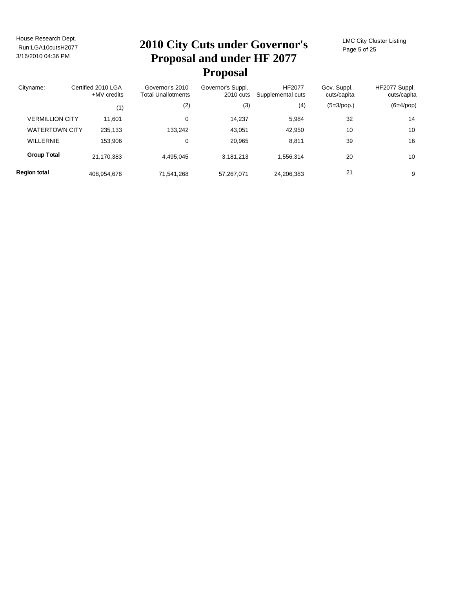# Run:LGA10cutsH2077 **2010 City Cuts under Governor's Proposal and under HF 2077 Proposal**

LMC City Cluster Listing Page 5 of 25

| Cityname:              | Certified 2010 LGA<br>$+MV$ credits |             | Governor's 2010<br><b>Total Unallotments</b> | Governor's Suppl.<br>2010 cuts | <b>HF2077</b><br>Supplemental cuts | Gov. Suppl.<br>cuts/capita | HF2077 Suppl.<br>cuts/capita |
|------------------------|-------------------------------------|-------------|----------------------------------------------|--------------------------------|------------------------------------|----------------------------|------------------------------|
|                        |                                     | (1)         | (2)                                          | (3)                            | (4)                                | $(5=3$ /pop.)              | $(6=4$ /pop)                 |
| <b>VERMILLION CITY</b> |                                     | 11,601      | 0                                            | 14.237                         | 5.984                              | 32                         | 14                           |
| <b>WATERTOWN CITY</b>  |                                     | 235,133     | 133,242                                      | 43,051                         | 42,950                             | 10                         | 10                           |
| <b>WILLERNIE</b>       |                                     | 153,906     | 0                                            | 20.965                         | 8.811                              | 39                         | 16                           |
| <b>Group Total</b>     |                                     | 21,170,383  | 4.495.045                                    | 3,181,213                      | 1.556.314                          | 20                         | 10                           |
| <b>Region total</b>    |                                     | 408,954,676 | 71,541,268                                   | 57,267,071                     | 24,206,383                         | 21                         | 9                            |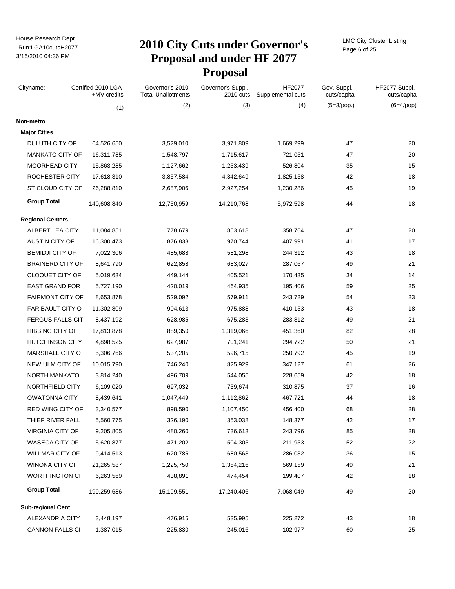# Run:LGA10cutsH2077 **2010 City Cuts under Governor's Proposal and under HF 2077 Proposal**

LMC City Cluster Listing Page 6 of 25

| Cityname:                | Certified 2010 LGA<br>+MV credits | Governor's 2010<br><b>Total Unallotments</b> | Governor's Suppl.<br>2010 cuts | HF2077<br>Supplemental cuts | Gov. Suppl.<br>cuts/capita | HF2077 Suppl.<br>cuts/capita |
|--------------------------|-----------------------------------|----------------------------------------------|--------------------------------|-----------------------------|----------------------------|------------------------------|
|                          | (1)                               | (2)                                          | (3)                            | (4)                         | $(5=3$ /pop.)              | $(6=4$ /pop)                 |
| Non-metro                |                                   |                                              |                                |                             |                            |                              |
| <b>Major Cities</b>      |                                   |                                              |                                |                             |                            |                              |
| DULUTH CITY OF           | 64,526,650                        | 3,529,010                                    | 3,971,809                      | 1,669,299                   | 47                         | 20                           |
| <b>MANKATO CITY OF</b>   | 16,311,785                        | 1,548,797                                    | 1,715,617                      | 721,051                     | 47                         | 20                           |
| MOORHEAD CITY            | 15,863,285                        | 1,127,662                                    | 1,253,439                      | 526,804                     | 35                         | 15                           |
| ROCHESTER CITY           | 17,618,310                        | 3,857,584                                    | 4,342,649                      | 1,825,158                   | 42                         | 18                           |
| ST CLOUD CITY OF         | 26,288,810                        | 2,687,906                                    | 2,927,254                      | 1,230,286                   | 45                         | 19                           |
| <b>Group Total</b>       | 140,608,840                       | 12,750,959                                   | 14,210,768                     | 5,972,598                   | 44                         | 18                           |
| <b>Regional Centers</b>  |                                   |                                              |                                |                             |                            |                              |
| ALBERT LEA CITY          | 11,084,851                        | 778,679                                      | 853,618                        | 358,764                     | 47                         | 20                           |
| AUSTIN CITY OF           | 16,300,473                        | 876,833                                      | 970,744                        | 407,991                     | 41                         | 17                           |
| <b>BEMIDJI CITY OF</b>   | 7,022,306                         | 485,688                                      | 581,298                        | 244,312                     | 43                         | 18                           |
| <b>BRAINERD CITY OF</b>  | 8,641,790                         | 622,858                                      | 683,027                        | 287,067                     | 49                         | 21                           |
| CLOQUET CITY OF          | 5,019,634                         | 449,144                                      | 405,521                        | 170,435                     | 34                         | 14                           |
| <b>EAST GRAND FOR</b>    | 5,727,190                         | 420,019                                      | 464,935                        | 195,406                     | 59                         | 25                           |
| <b>FAIRMONT CITY OF</b>  | 8,653,878                         | 529,092                                      | 579,911                        | 243,729                     | 54                         | 23                           |
| <b>FARIBAULT CITY O</b>  | 11,302,809                        | 904,613                                      | 975,888                        | 410,153                     | 43                         | 18                           |
| <b>FERGUS FALLS CIT</b>  | 8,437,192                         | 628,985                                      | 675,283                        | 283,812                     | 49                         | 21                           |
| <b>HIBBING CITY OF</b>   | 17,813,878                        | 889,350                                      | 1,319,066                      | 451,360                     | 82                         | 28                           |
| <b>HUTCHINSON CITY</b>   | 4,898,525                         | 627,987                                      | 701,241                        | 294,722                     | 50                         | 21                           |
| <b>MARSHALL CITY O</b>   | 5,306,766                         | 537,205                                      | 596,715                        | 250,792                     | 45                         | 19                           |
| NEW ULM CITY OF          | 10,015,790                        | 746,240                                      | 825,929                        | 347,127                     | 61                         | 26                           |
| NORTH MANKATO            | 3,814,240                         | 496,709                                      | 544,055                        | 228,659                     | 42                         | 18                           |
| NORTHFIELD CITY          | 6,109,020                         | 697,032                                      | 739,674                        | 310,875                     | 37                         | 16                           |
| <b>OWATONNA CITY</b>     | 8,439,641                         | 1,047,449                                    | 1,112,862                      | 467,721                     | 44                         | 18                           |
| <b>RED WING CITY OF</b>  | 3,340,577                         | 898,590                                      | 1,107,450                      | 456,400                     | 68                         | 28                           |
| THIEF RIVER FALL         | 5,560,775                         | 326,190                                      | 353,038                        | 148,377                     | 42                         | 17                           |
| VIRGINIA CITY OF         | 9,205,805                         | 480,260                                      | 736,613                        | 243,796                     | 85                         | 28                           |
| WASECA CITY OF           | 5,620,877                         | 471,202                                      | 504,305                        | 211,953                     | 52                         | 22                           |
| <b>WILLMAR CITY OF</b>   | 9,414,513                         | 620,785                                      | 680,563                        | 286,032                     | 36                         | 15                           |
| WINONA CITY OF           | 21,265,587                        | 1,225,750                                    | 1,354,216                      | 569,159                     | 49                         | 21                           |
| <b>WORTHINGTON CI</b>    | 6,263,569                         | 438,891                                      | 474,454                        | 199,407                     | 42                         | 18                           |
| <b>Group Total</b>       | 199,259,686                       | 15,199,551                                   | 17,240,406                     | 7,068,049                   | 49                         | 20                           |
| <b>Sub-regional Cent</b> |                                   |                                              |                                |                             |                            |                              |
| ALEXANDRIA CITY          | 3,448,197                         | 476,915                                      | 535,995                        | 225,272                     | 43                         | 18                           |
| <b>CANNON FALLS CI</b>   | 1,387,015                         | 225,830                                      | 245,016                        | 102,977                     | 60                         | 25                           |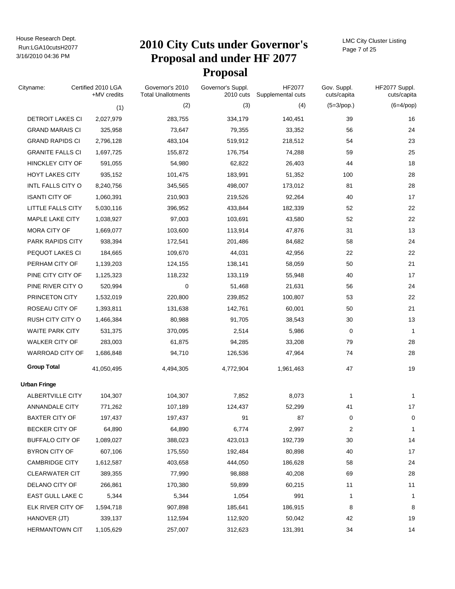### Run:LGA10cutsH2077 **2010 City Cuts under Governor's Proposal and under HF 2077 Proposal**

LMC City Cluster Listing Page 7 of 25

| Cityname:               | Certified 2010 LGA<br>+MV credits | Governor's 2010<br><b>Total Unallotments</b> | Governor's Suppl.<br>2010 cuts | HF2077<br>Supplemental cuts | Gov. Suppl.<br>cuts/capita | HF2077 Suppl.<br>cuts/capita |
|-------------------------|-----------------------------------|----------------------------------------------|--------------------------------|-----------------------------|----------------------------|------------------------------|
|                         | (1)                               | (2)                                          | (3)                            | (4)                         | $(5=3$ /pop.)              | $(6=4$ /pop)                 |
| DETROIT LAKES CI        | 2,027,979                         | 283,755                                      | 334,179                        | 140,451                     | 39                         | 16                           |
| <b>GRAND MARAIS CI</b>  | 325,958                           | 73,647                                       | 79,355                         | 33,352                      | 56                         | 24                           |
| <b>GRAND RAPIDS CI</b>  | 2,796,128                         | 483,104                                      | 519,912                        | 218,512                     | 54                         | 23                           |
| <b>GRANITE FALLS CI</b> | 1,697,725                         | 155,872                                      | 176,754                        | 74,288                      | 59                         | 25                           |
| <b>HINCKLEY CITY OF</b> | 591,055                           | 54,980                                       | 62,822                         | 26,403                      | 44                         | 18                           |
| <b>HOYT LAKES CITY</b>  | 935,152                           | 101,475                                      | 183,991                        | 51,352                      | 100                        | 28                           |
| INTL FALLS CITY O       | 8,240,756                         | 345,565                                      | 498,007                        | 173,012                     | 81                         | 28                           |
| <b>ISANTI CITY OF</b>   | 1,060,391                         | 210,903                                      | 219,526                        | 92,264                      | 40                         | 17                           |
| LITTLE FALLS CITY       | 5,030,116                         | 396,952                                      | 433,844                        | 182,339                     | 52                         | 22                           |
| MAPLE LAKE CITY         | 1,038,927                         | 97,003                                       | 103,691                        | 43,580                      | 52                         | 22                           |
| MORA CITY OF            | 1,669,077                         | 103,600                                      | 113,914                        | 47,876                      | 31                         | 13                           |
| PARK RAPIDS CITY        | 938,394                           | 172,541                                      | 201,486                        | 84,682                      | 58                         | 24                           |
| PEQUOT LAKES CI         | 184,665                           | 109,670                                      | 44,031                         | 42,956                      | 22                         | 22                           |
| PERHAM CITY OF          | 1,139,203                         | 124,155                                      | 138,141                        | 58,059                      | 50                         | 21                           |
| PINE CITY CITY OF       | 1,125,323                         | 118,232                                      | 133,119                        | 55,948                      | 40                         | 17                           |
| PINE RIVER CITY O       | 520,994                           | 0                                            | 51,468                         | 21,631                      | 56                         | 24                           |
| PRINCETON CITY          | 1,532,019                         | 220,800                                      | 239,852                        | 100,807                     | 53                         | 22                           |
| ROSEAU CITY OF          | 1,393,811                         | 131,638                                      | 142,761                        | 60,001                      | 50                         | 21                           |
| RUSH CITY CITY O        | 1,466,384                         | 80,988                                       | 91,705                         | 38,543                      | 30                         | 13                           |
| <b>WAITE PARK CITY</b>  | 531,375                           | 370,095                                      | 2,514                          | 5,986                       | 0                          | $\mathbf{1}$                 |
| <b>WALKER CITY OF</b>   | 283,003                           | 61,875                                       | 94,285                         | 33,208                      | 79                         | 28                           |
| WARROAD CITY OF         | 1,686,848                         | 94,710                                       | 126,536                        | 47,964                      | 74                         | 28                           |
| <b>Group Total</b>      | 41,050,495                        | 4,494,305                                    | 4,772,904                      | 1,961,463                   | 47                         | 19                           |
| <b>Urban Fringe</b>     |                                   |                                              |                                |                             |                            |                              |
| ALBERTVILLE CITY        | 104,307                           | 104,307                                      | 7,852                          | 8,073                       | 1                          | 1                            |
| ANNANDALE CITY          | 771,262                           | 107,189                                      | 124,437                        | 52,299                      | 41                         | 17                           |
| <b>BAXTER CITY OF</b>   | 197,437                           | 197,437                                      | 91                             | 87                          | 0                          | 0                            |
| BECKER CITY OF          | 64,890                            | 64,890                                       | 6,774                          | 2,997                       | 2                          | 1                            |
| <b>BUFFALO CITY OF</b>  | 1,089,027                         | 388,023                                      | 423,013                        | 192,739                     | 30                         | 14                           |
| <b>BYRON CITY OF</b>    | 607,106                           | 175,550                                      | 192,484                        | 80,898                      | 40                         | 17                           |
| <b>CAMBRIDGE CITY</b>   | 1,612,587                         | 403,658                                      | 444,050                        | 186,628                     | 58                         | 24                           |
| <b>CLEARWATER CIT</b>   | 389,355                           | 77,990                                       | 98,888                         | 40,208                      | 69                         | 28                           |
| DELANO CITY OF          | 266,861                           | 170,380                                      | 59,899                         | 60,215                      | 11                         | 11                           |
| EAST GULL LAKE C        | 5,344                             | 5,344                                        | 1,054                          | 991                         | 1                          | 1                            |
| ELK RIVER CITY OF       | 1,594,718                         | 907,898                                      | 185,641                        | 186,915                     | 8                          | 8                            |
| HANOVER (JT)            | 339,137                           | 112,594                                      | 112,920                        | 50,042                      | 42                         | 19                           |
| <b>HERMANTOWN CIT</b>   | 1,105,629                         | 257,007                                      | 312,623                        | 131,391                     | 34                         | 14                           |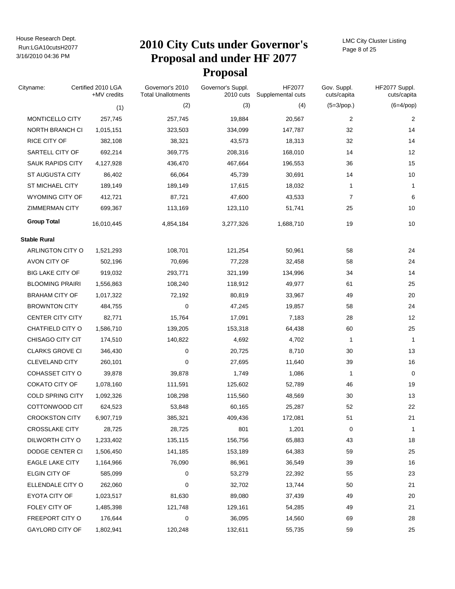# Run:LGA10cutsH2077 **2010 City Cuts under Governor's Proposal and under HF 2077 Proposal**

LMC City Cluster Listing Page 8 of 25

| Cityname:               | Certified 2010 LGA<br>+MV credits | Governor's 2010<br><b>Total Unallotments</b> | Governor's Suppl.<br>2010 cuts | HF2077<br>Supplemental cuts | Gov. Suppl.<br>cuts/capita | HF2077 Suppl.<br>cuts/capita |
|-------------------------|-----------------------------------|----------------------------------------------|--------------------------------|-----------------------------|----------------------------|------------------------------|
|                         | (1)                               | (2)                                          | (3)                            | (4)                         | $(5=3$ /pop.)              | $(6=4$ /pop)                 |
| MONTICELLO CITY         | 257,745                           | 257,745                                      | 19,884                         | 20,567                      | 2                          | $\overline{2}$               |
| NORTH BRANCH CI         | 1,015,151                         | 323,503                                      | 334,099                        | 147,787                     | 32                         | 14                           |
| RICE CITY OF            | 382,108                           | 38,321                                       | 43,573                         | 18,313                      | 32                         | 14                           |
| SARTELL CITY OF         | 692,214                           | 369,775                                      | 208,316                        | 168,010                     | 14                         | 12                           |
| <b>SAUK RAPIDS CITY</b> | 4,127,928                         | 436,470                                      | 467,664                        | 196,553                     | 36                         | 15                           |
| <b>ST AUGUSTA CITY</b>  | 86,402                            | 66,064                                       | 45,739                         | 30,691                      | 14                         | 10                           |
| <b>ST MICHAEL CITY</b>  | 189,149                           | 189,149                                      | 17,615                         | 18,032                      | 1                          | $\mathbf{1}$                 |
| WYOMING CITY OF         | 412,721                           | 87,721                                       | 47,600                         | 43,533                      | $\overline{7}$             | 6                            |
| <b>ZIMMERMAN CITY</b>   | 699,367                           | 113,169                                      | 123,110                        | 51,741                      | 25                         | 10                           |
| <b>Group Total</b>      | 16,010,445                        | 4,854,184                                    | 3,277,326                      | 1,688,710                   | 19                         | 10                           |
| <b>Stable Rural</b>     |                                   |                                              |                                |                             |                            |                              |
| ARLINGTON CITY O        | 1,521,293                         | 108,701                                      | 121,254                        | 50,961                      | 58                         | 24                           |
| AVON CITY OF            | 502,196                           | 70,696                                       | 77,228                         | 32,458                      | 58                         | 24                           |
| <b>BIG LAKE CITY OF</b> | 919,032                           | 293,771                                      | 321,199                        | 134,996                     | 34                         | 14                           |
| <b>BLOOMING PRAIRI</b>  | 1,556,863                         | 108,240                                      | 118,912                        | 49,977                      | 61                         | 25                           |
| <b>BRAHAM CITY OF</b>   | 1,017,322                         | 72,192                                       | 80,819                         | 33,967                      | 49                         | 20                           |
| <b>BROWNTON CITY</b>    | 484,755                           | $\mathbf 0$                                  | 47,245                         | 19,857                      | 58                         | 24                           |
| <b>CENTER CITY CITY</b> | 82,771                            | 15,764                                       | 17,091                         | 7,183                       | 28                         | 12                           |
| CHATFIELD CITY O        | 1,586,710                         | 139,205                                      | 153,318                        | 64,438                      | 60                         | 25                           |
| CHISAGO CITY CIT        | 174,510                           | 140,822                                      | 4,692                          | 4,702                       | 1                          | $\mathbf{1}$                 |
| <b>CLARKS GROVE CI</b>  | 346,430                           | 0                                            | 20,725                         | 8,710                       | 30                         | 13                           |
| <b>CLEVELAND CITY</b>   | 260,101                           | 0                                            | 27,695                         | 11,640                      | 39                         | 16                           |
| <b>COHASSET CITY O</b>  | 39,878                            | 39,878                                       | 1,749                          | 1,086                       | 1                          | $\mathbf 0$                  |
| <b>COKATO CITY OF</b>   | 1,078,160                         | 111,591                                      | 125,602                        | 52,789                      | 46                         | 19                           |
| <b>COLD SPRING CITY</b> | 1,092,326                         | 108,298                                      | 115,560                        | 48,569                      | 30                         | 13                           |
| COTTONWOOD CIT          | 624,523                           | 53,848                                       | 60,165                         | 25,287                      | 52                         | 22                           |
| <b>CROOKSTON CITY</b>   | 6,907,719                         | 385,321                                      | 409,436                        | 172,081                     | 51                         | 21                           |
| <b>CROSSLAKE CITY</b>   | 28,725                            | 28,725                                       | 801                            | 1,201                       | 0                          | 1                            |
| DILWORTH CITY O         | 1,233,402                         | 135,115                                      | 156,756                        | 65,883                      | 43                         | 18                           |
| DODGE CENTER CI         | 1,506,450                         | 141,185                                      | 153,189                        | 64,383                      | 59                         | 25                           |
| <b>EAGLE LAKE CITY</b>  | 1,164,966                         | 76,090                                       | 86,961                         | 36,549                      | 39                         | 16                           |
| ELGIN CITY OF           | 585,099                           | 0                                            | 53,279                         | 22,392                      | 55                         | 23                           |
| ELLENDALE CITY O        | 262,060                           | 0                                            | 32,702                         | 13,744                      | 50                         | 21                           |
| EYOTA CITY OF           | 1,023,517                         | 81,630                                       | 89,080                         | 37,439                      | 49                         | 20                           |
| FOLEY CITY OF           | 1,485,398                         | 121,748                                      | 129,161                        | 54,285                      | 49                         | 21                           |
| FREEPORT CITY O         | 176,644                           | 0                                            | 36,095                         | 14,560                      | 69                         | 28                           |
| GAYLORD CITY OF         | 1,802,941                         | 120,248                                      | 132,611                        | 55,735                      | 59                         | 25                           |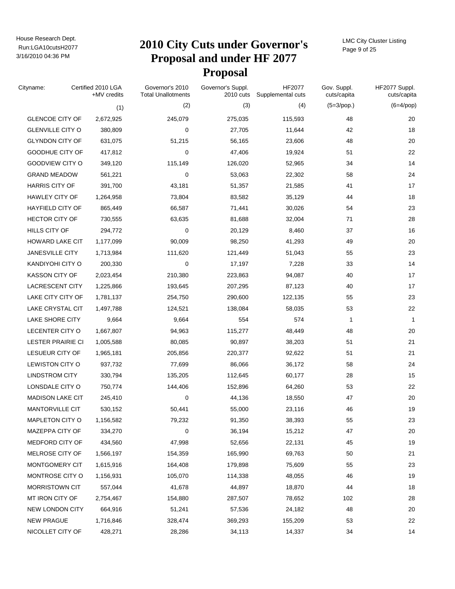# Run:LGA10cutsH2077 **2010 City Cuts under Governor's Proposal and under HF 2077 Proposal**

LMC City Cluster Listing Page 9 of 25

| Cityname:                | Certified 2010 LGA<br>+MV credits | Governor's 2010<br><b>Total Unallotments</b> | Governor's Suppl.<br>2010 cuts | HF2077<br>Supplemental cuts | Gov. Suppl.<br>cuts/capita | HF2077 Suppl.<br>cuts/capita |
|--------------------------|-----------------------------------|----------------------------------------------|--------------------------------|-----------------------------|----------------------------|------------------------------|
|                          | (1)                               | (2)                                          | (3)                            | (4)                         | $(5=3$ /pop.)              | $(6=4$ /pop)                 |
| <b>GLENCOE CITY OF</b>   | 2,672,925                         | 245,079                                      | 275,035                        | 115,593                     | 48                         | 20                           |
| <b>GLENVILLE CITY O</b>  | 380,809                           | 0                                            | 27,705                         | 11,644                      | 42                         | 18                           |
| <b>GLYNDON CITY OF</b>   | 631,075                           | 51,215                                       | 56,165                         | 23,606                      | 48                         | 20                           |
| GOODHUE CITY OF          | 417,812                           | 0                                            | 47,406                         | 19,924                      | 51                         | 22                           |
| GOODVIEW CITY O          | 349,120                           | 115,149                                      | 126,020                        | 52,965                      | 34                         | 14                           |
| <b>GRAND MEADOW</b>      | 561,221                           | 0                                            | 53,063                         | 22,302                      | 58                         | 24                           |
| <b>HARRIS CITY OF</b>    | 391,700                           | 43,181                                       | 51,357                         | 21,585                      | 41                         | 17                           |
| <b>HAWLEY CITY OF</b>    | 1,264,958                         | 73,804                                       | 83,582                         | 35,129                      | 44                         | 18                           |
| <b>HAYFIELD CITY OF</b>  | 865,449                           | 66,587                                       | 71,441                         | 30,026                      | 54                         | 23                           |
| <b>HECTOR CITY OF</b>    | 730,555                           | 63,635                                       | 81,688                         | 32,004                      | 71                         | 28                           |
| HILLS CITY OF            | 294,772                           | 0                                            | 20,129                         | 8,460                       | 37                         | 16                           |
| HOWARD LAKE CIT          | 1,177,099                         | 90,009                                       | 98,250                         | 41,293                      | 49                         | 20                           |
| <b>JANESVILLE CITY</b>   | 1,713,984                         | 111,620                                      | 121,449                        | 51,043                      | 55                         | 23                           |
| KANDIYOHI CITY O         | 200,330                           | 0                                            | 17,197                         | 7,228                       | 33                         | 14                           |
| <b>KASSON CITY OF</b>    | 2,023,454                         | 210,380                                      | 223,863                        | 94,087                      | 40                         | 17                           |
| LACRESCENT CITY          | 1,225,866                         | 193,645                                      | 207,295                        | 87,123                      | 40                         | 17                           |
| LAKE CITY CITY OF        | 1,781,137                         | 254,750                                      | 290,600                        | 122,135                     | 55                         | 23                           |
| LAKE CRYSTAL CIT         | 1,497,788                         | 124,521                                      | 138,084                        | 58,035                      | 53                         | 22                           |
| LAKE SHORE CITY          | 9,664                             | 9,664                                        | 554                            | 574                         | 1                          | $\mathbf{1}$                 |
| LECENTER CITY O          | 1,667,807                         | 94,963                                       | 115,277                        | 48,449                      | 48                         | 20                           |
| <b>LESTER PRAIRIE CI</b> | 1,005,588                         | 80,085                                       | 90,897                         | 38,203                      | 51                         | 21                           |
| LESUEUR CITY OF          | 1,965,181                         | 205,856                                      | 220,377                        | 92,622                      | 51                         | 21                           |
| LEWISTON CITY O          | 937,732                           | 77,699                                       | 86,066                         | 36,172                      | 58                         | 24                           |
| <b>LINDSTROM CITY</b>    | 330,794                           | 135,205                                      | 112,645                        | 60,177                      | 28                         | 15                           |
| LONSDALE CITY O          | 750,774                           | 144,406                                      | 152,896                        | 64,260                      | 53                         | 22                           |
| <b>MADISON LAKE CIT</b>  | 245,410                           | 0                                            | 44,136                         | 18,550                      | 47                         | 20                           |
| <b>MANTORVILLE CIT</b>   | 530,152                           | 50,441                                       | 55,000                         | 23,116                      | 46                         | 19                           |
| MAPLETON CITY O          | 1,156,582                         | 79,232                                       | 91,350                         | 38,393                      | 55                         | 23                           |
| MAZEPPA CITY OF          | 334,270                           | 0                                            | 36,194                         | 15,212                      | 47                         | 20                           |
| MEDFORD CITY OF          | 434,560                           | 47,998                                       | 52,656                         | 22,131                      | 45                         | 19                           |
| MELROSE CITY OF          | 1,566,197                         | 154,359                                      | 165,990                        | 69,763                      | 50                         | 21                           |
| MONTGOMERY CIT           | 1,615,916                         | 164,408                                      | 179,898                        | 75,609                      | 55                         | 23                           |
| MONTROSE CITY O          | 1,156,931                         | 105,070                                      | 114,338                        | 48,055                      | 46                         | 19                           |
| <b>MORRISTOWN CIT</b>    | 557,044                           | 41,678                                       | 44,897                         | 18,870                      | 44                         | 18                           |
| MT IRON CITY OF          | 2,754,467                         | 154,880                                      | 287,507                        | 78,652                      | 102                        | 28                           |
| NEW LONDON CITY          | 664,916                           | 51,241                                       | 57,536                         | 24,182                      | 48                         | 20                           |
| <b>NEW PRAGUE</b>        | 1,716,846                         | 328,474                                      | 369,293                        | 155,209                     | 53                         | 22                           |
| NICOLLET CITY OF         | 428,271                           | 28,286                                       | 34,113                         | 14,337                      | 34                         | 14                           |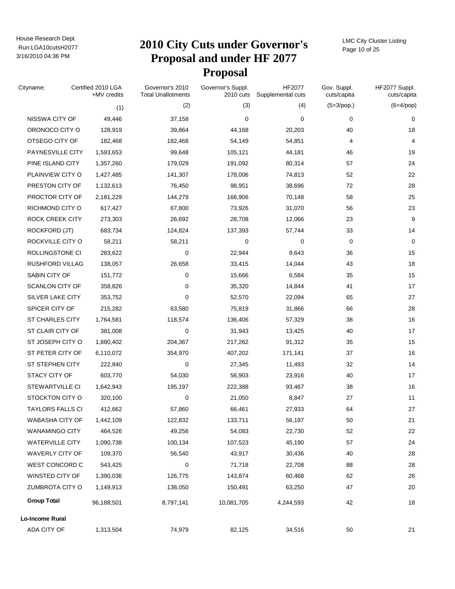# Run:LGA10cutsH2077 **2010 City Cuts under Governor's Proposal and under HF 2077 Proposal**

LMC City Cluster Listing Page 10 of 25

| Cityname:               | Certified 2010 LGA<br>+MV credits | Governor's 2010<br><b>Total Unallotments</b> | Governor's Suppl.<br>2010 cuts | HF2077<br>Supplemental cuts | Gov. Suppl.<br>cuts/capita | HF2077 Suppl.<br>cuts/capita |
|-------------------------|-----------------------------------|----------------------------------------------|--------------------------------|-----------------------------|----------------------------|------------------------------|
|                         | (1)                               | (2)                                          | (3)                            | (4)                         | $(5=3$ /pop.)              | $(6=4$ /pop)                 |
| NISSWA CITY OF          | 49,446                            | 37,158                                       | 0                              | $\mathbf 0$                 | 0                          | 0                            |
| ORONOCO CITY O          | 128,919                           | 39,864                                       | 44,168                         | 20,203                      | 40                         | 18                           |
| OTSEGO CITY OF          | 182,468                           | 182,468                                      | 54,149                         | 54,851                      | 4                          | 4                            |
| PAYNESVILLE CITY        | 1,593,653                         | 99,648                                       | 105,121                        | 44,181                      | 46                         | 19                           |
| PINE ISLAND CITY        | 1,357,260                         | 179,029                                      | 191,092                        | 80,314                      | 57                         | 24                           |
| PLAINVIEW CITY O        | 1,427,485                         | 141,307                                      | 178,006                        | 74,813                      | 52                         | 22                           |
| PRESTON CITY OF         | 1,132,613                         | 76,450                                       | 98,951                         | 38,696                      | 72                         | 28                           |
| PROCTOR CITY OF         | 2,181,229                         | 144,279                                      | 166,906                        | 70,148                      | 58                         | 25                           |
| RICHMOND CITY O         | 617,427                           | 67,800                                       | 73,926                         | 31,070                      | 56                         | 23                           |
| ROCK CREEK CITY         | 273,303                           | 26,692                                       | 28,708                         | 12,066                      | 23                         | 9                            |
| <b>ROCKFORD (JT)</b>    | 683,734                           | 124,824                                      | 137,393                        | 57,744                      | 33                         | 14                           |
| ROCKVILLE CITY O        | 58,211                            | 58,211                                       | 0                              | 0                           | 0                          | 0                            |
| ROLLINGSTONE CI         | 283,622                           | 0                                            | 22,944                         | 9,643                       | 36                         | 15                           |
| <b>RUSHFORD VILLAG</b>  | 138,057                           | 26,658                                       | 33,415                         | 14,044                      | 43                         | 18                           |
| SABIN CITY OF           | 151,772                           | 0                                            | 15,666                         | 6,584                       | 35                         | 15                           |
| <b>SCANLON CITY OF</b>  | 358,826                           | 0                                            | 35,320                         | 14,844                      | 41                         | 17                           |
| SILVER LAKE CITY        | 353,752                           | $\mathbf 0$                                  | 52,570                         | 22,094                      | 65                         | 27                           |
| SPICER CITY OF          | 215,282                           | 63,580                                       | 75,819                         | 31,866                      | 66                         | 28                           |
| <b>ST CHARLES CITY</b>  | 1,764,581                         | 118,574                                      | 136,406                        | 57,329                      | 38                         | 16                           |
| ST CLAIR CITY OF        | 381,008                           | 0                                            | 31,943                         | 13,425                      | 40                         | 17                           |
| ST JOSEPH CITY O        | 1,880,402                         | 204,367                                      | 217,262                        | 91,312                      | 35                         | 15                           |
| ST PETER CITY OF        | 6,110,072                         | 354,970                                      | 407,202                        | 171,141                     | 37                         | 16                           |
| ST STEPHEN CITY         | 222,840                           | 0                                            | 27,345                         | 11,493                      | 32                         | 14                           |
| STACY CITY OF           | 603,770                           | 54,030                                       | 56,903                         | 23,916                      | 40                         | 17                           |
| <b>STEWARTVILLE CI</b>  | 1,642,943                         | 195,197                                      | 222,388                        | 93,467                      | 38                         | 16                           |
| STOCKTON CITY O         | 320,100                           | 0                                            | 21,050                         | 8,847                       | 27                         | 11                           |
| <b>TAYLORS FALLS CI</b> | 412,662                           | 57,860                                       | 66,461                         | 27,933                      | 64                         | 27                           |
| WABASHA CITY OF         | 1,442,109                         | 122,832                                      | 133,711                        | 56,197                      | 50                         | 21                           |
| <b>WANAMINGO CITY</b>   | 464,526                           | 49,256                                       | 54,083                         | 22,730                      | 52                         | 22                           |
| <b>WATERVILLE CITY</b>  | 1,090,738                         | 100,134                                      | 107,523                        | 45,190                      | 57                         | 24                           |
| <b>WAVERLY CITY OF</b>  | 109,370                           | 56,540                                       | 43,917                         | 30,436                      | 40                         | 28                           |
| WEST CONCORD C          | 543,425                           | 0                                            | 71,718                         | 22,708                      | 88                         | 28                           |
| WINSTED CITY OF         | 1,390,036                         | 126,775                                      | 143,874                        | 60,468                      | 62                         | 26                           |
| <b>ZUMBROTA CITY O</b>  | 1,149,913                         | 138,050                                      | 150,491                        | 63,250                      | 47                         | $20\,$                       |
| <b>Group Total</b>      | 96,188,501                        | 8,797,141                                    | 10,081,705                     | 4,244,593                   | 42                         | 18                           |
| Lo-Income Rural         |                                   |                                              |                                |                             |                            |                              |
| ADA CITY OF             | 1,313,504                         | 74,979                                       | 82,125                         | 34,516                      | 50                         | 21                           |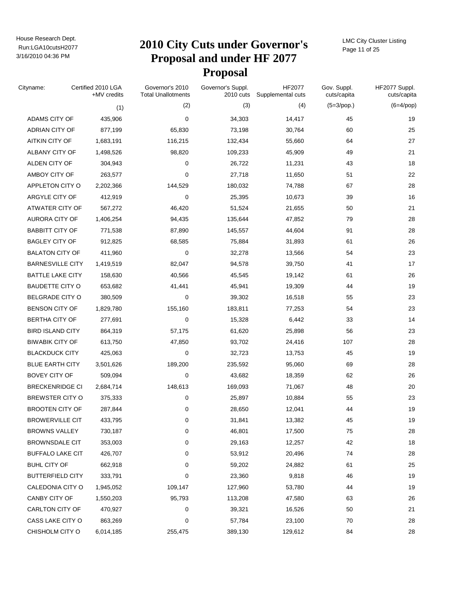### Run:LGA10cutsH2077 **2010 City Cuts under Governor's Proposal and under HF 2077 Proposal**

LMC City Cluster Listing Page 11 of 25

| Cityname:               | Certified 2010 LGA<br>+MV credits |         | Governor's 2010<br><b>Total Unallotments</b> | Governor's Suppl.<br>2010 cuts | <b>HF2077</b><br>Supplemental cuts | Gov. Suppl.<br>cuts/capita | HF2077 Suppl.<br>cuts/capita |
|-------------------------|-----------------------------------|---------|----------------------------------------------|--------------------------------|------------------------------------|----------------------------|------------------------------|
|                         |                                   | (1)     | (2)                                          | (3)                            | (4)                                | $(5=3$ /pop.)              | $(6=4$ /pop)                 |
| ADAMS CITY OF           |                                   | 435,906 | $\mathbf 0$                                  | 34,303                         | 14,417                             | 45                         | 19                           |
| ADRIAN CITY OF          |                                   | 877,199 | 65,830                                       | 73,198                         | 30,764                             | 60                         | 25                           |
| <b>AITKIN CITY OF</b>   | 1,683,191                         |         | 116,215                                      | 132,434                        | 55,660                             | 64                         | 27                           |
| ALBANY CITY OF          | 1,498,526                         |         | 98,820                                       | 109,233                        | 45,909                             | 49                         | 21                           |
| ALDEN CITY OF           |                                   | 304,943 | 0                                            | 26,722                         | 11,231                             | 43                         | 18                           |
| AMBOY CITY OF           |                                   | 263,577 | 0                                            | 27,718                         | 11,650                             | 51                         | 22                           |
| APPLETON CITY O         | 2,202,366                         |         | 144,529                                      | 180,032                        | 74,788                             | 67                         | 28                           |
| ARGYLE CITY OF          |                                   | 412,919 | 0                                            | 25,395                         | 10,673                             | 39                         | 16                           |
| ATWATER CITY OF         |                                   | 567,272 | 46,420                                       | 51,524                         | 21,655                             | 50                         | 21                           |
| AURORA CITY OF          | 1,406,254                         |         | 94,435                                       | 135,644                        | 47,852                             | 79                         | 28                           |
| <b>BABBITT CITY OF</b>  |                                   | 771,538 | 87,890                                       | 145,557                        | 44,604                             | 91                         | 28                           |
| <b>BAGLEY CITY OF</b>   |                                   | 912,825 | 68,585                                       | 75,884                         | 31,893                             | 61                         | 26                           |
| <b>BALATON CITY OF</b>  |                                   | 411,960 | 0                                            | 32,278                         | 13,566                             | 54                         | 23                           |
| <b>BARNESVILLE CITY</b> | 1,419,519                         |         | 82,047                                       | 94,578                         | 39,750                             | 41                         | 17                           |
| <b>BATTLE LAKE CITY</b> |                                   | 158,630 | 40,566                                       | 45,545                         | 19,142                             | 61                         | 26                           |
| <b>BAUDETTE CITY O</b>  |                                   | 653,682 | 41,441                                       | 45,941                         | 19,309                             | 44                         | 19                           |
| <b>BELGRADE CITY O</b>  |                                   | 380,509 | 0                                            | 39,302                         | 16,518                             | 55                         | 23                           |
| <b>BENSON CITY OF</b>   | 1,829,780                         |         | 155,160                                      | 183,811                        | 77,253                             | 54                         | 23                           |
| <b>BERTHA CITY OF</b>   |                                   | 277,691 | 0                                            | 15,328                         | 6,442                              | 33                         | 14                           |
| <b>BIRD ISLAND CITY</b> |                                   | 864,319 | 57,175                                       | 61,620                         | 25,898                             | 56                         | 23                           |
| <b>BIWABIK CITY OF</b>  |                                   | 613,750 | 47,850                                       | 93,702                         | 24,416                             | 107                        | 28                           |
| <b>BLACKDUCK CITY</b>   |                                   | 425,063 | 0                                            | 32,723                         | 13,753                             | 45                         | 19                           |
| <b>BLUE EARTH CITY</b>  | 3,501,626                         |         | 189,200                                      | 235,592                        | 95,060                             | 69                         | 28                           |
| <b>BOVEY CITY OF</b>    |                                   | 509,094 | 0                                            | 43,682                         | 18,359                             | 62                         | 26                           |
| <b>BRECKENRIDGE CI</b>  | 2,684,714                         |         | 148,613                                      | 169,093                        | 71,067                             | 48                         | 20                           |
| BREWSTER CITY O         |                                   | 375,333 | 0                                            | 25,897                         | 10,884                             | 55                         | 23                           |
| <b>BROOTEN CITY OF</b>  |                                   | 287,844 | 0                                            | 28,650                         | 12,041                             | 44                         | 19                           |
| <b>BROWERVILLE CIT</b>  |                                   | 433,795 | 0                                            | 31,841                         | 13,382                             | 45                         | 19                           |
| <b>BROWNS VALLEY</b>    |                                   | 730,187 | 0                                            | 46,801                         | 17,500                             | 75                         | 28                           |
| <b>BROWNSDALE CIT</b>   |                                   | 353,003 | 0                                            | 29,163                         | 12,257                             | 42                         | 18                           |
| <b>BUFFALO LAKE CIT</b> |                                   | 426,707 | 0                                            | 53,912                         | 20,496                             | 74                         | 28                           |
| <b>BUHL CITY OF</b>     |                                   | 662,918 | 0                                            | 59,202                         | 24,882                             | 61                         | 25                           |
| <b>BUTTERFIELD CITY</b> |                                   | 333,791 | 0                                            | 23,360                         | 9,818                              | 46                         | 19                           |
| CALEDONIA CITY O        | 1,945,052                         |         | 109,147                                      | 127,960                        | 53,780                             | 44                         | 19                           |
| CANBY CITY OF           | 1,550,203                         |         | 95,793                                       | 113,208                        | 47,580                             | 63                         | 26                           |
| CARLTON CITY OF         |                                   | 470,927 | 0                                            | 39,321                         | 16,526                             | 50                         | 21                           |
| CASS LAKE CITY O        |                                   | 863,269 | 0                                            | 57,784                         | 23,100                             | 70                         | 28                           |
| CHISHOLM CITY O         | 6,014,185                         |         | 255,475                                      | 389,130                        | 129,612                            | 84                         | 28                           |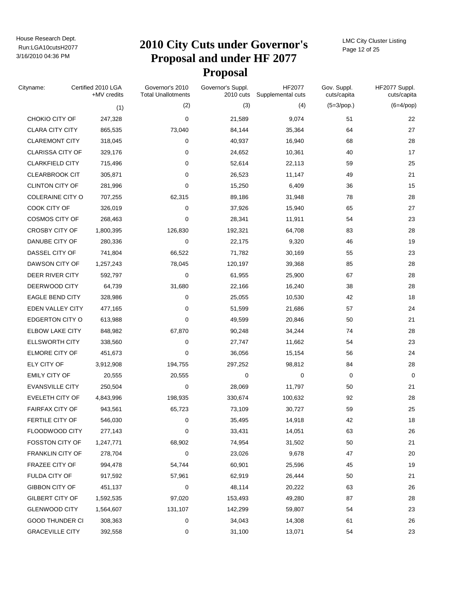# Run:LGA10cutsH2077 **2010 City Cuts under Governor's Proposal and under HF 2077 Proposal**

LMC City Cluster Listing Page 12 of 25

| Cityname:               | Certified 2010 LGA<br>+MV credits | Governor's 2010<br><b>Total Unallotments</b> | Governor's Suppl.<br>2010 cuts | HF2077<br>Supplemental cuts | Gov. Suppl.<br>cuts/capita | HF2077 Suppl.<br>cuts/capita |
|-------------------------|-----------------------------------|----------------------------------------------|--------------------------------|-----------------------------|----------------------------|------------------------------|
|                         | (1)                               | (2)                                          | (3)                            | (4)                         | $(5=3$ /pop.)              | $(6=4$ /pop)                 |
| CHOKIO CITY OF          | 247,328                           | 0                                            | 21,589                         | 9,074                       | 51                         | 22                           |
| <b>CLARA CITY CITY</b>  | 865,535                           | 73,040                                       | 84,144                         | 35,364                      | 64                         | 27                           |
| <b>CLAREMONT CITY</b>   | 318,045                           | 0                                            | 40,937                         | 16,940                      | 68                         | 28                           |
| <b>CLARISSA CITY OF</b> | 329,176                           | 0                                            | 24,652                         | 10,361                      | 40                         | 17                           |
| <b>CLARKFIELD CITY</b>  | 715,496                           | 0                                            | 52,614                         | 22,113                      | 59                         | 25                           |
| <b>CLEARBROOK CIT</b>   | 305,871                           | 0                                            | 26,523                         | 11,147                      | 49                         | 21                           |
| <b>CLINTON CITY OF</b>  | 281,996                           | 0                                            | 15,250                         | 6,409                       | 36                         | 15                           |
| COLERAINE CITY O        | 707,255                           | 62,315                                       | 89,186                         | 31,948                      | 78                         | 28                           |
| COOK CITY OF            | 326,019                           | 0                                            | 37,926                         | 15,940                      | 65                         | 27                           |
| <b>COSMOS CITY OF</b>   | 268,463                           | 0                                            | 28,341                         | 11,911                      | 54                         | 23                           |
| <b>CROSBY CITY OF</b>   | 1,800,395                         | 126,830                                      | 192,321                        | 64,708                      | 83                         | 28                           |
| DANUBE CITY OF          | 280,336                           | 0                                            | 22,175                         | 9,320                       | 46                         | 19                           |
| DASSEL CITY OF          | 741,804                           | 66,522                                       | 71,782                         | 30,169                      | 55                         | 23                           |
| DAWSON CITY OF          | 1,257,243                         | 78,045                                       | 120,197                        | 39,368                      | 85                         | 28                           |
| DEER RIVER CITY         | 592,797                           | 0                                            | 61,955                         | 25,900                      | 67                         | 28                           |
| DEERWOOD CITY           | 64,739                            | 31,680                                       | 22,166                         | 16,240                      | 38                         | 28                           |
| <b>EAGLE BEND CITY</b>  | 328,986                           | 0                                            | 25,055                         | 10,530                      | 42                         | 18                           |
| EDEN VALLEY CITY        | 477,165                           | 0                                            | 51,599                         | 21,686                      | 57                         | 24                           |
| <b>EDGERTON CITY O</b>  | 613,988                           | 0                                            | 49,599                         | 20,846                      | 50                         | 21                           |
| <b>ELBOW LAKE CITY</b>  | 848,982                           | 67,870                                       | 90,248                         | 34,244                      | 74                         | 28                           |
| <b>ELLSWORTH CITY</b>   | 338,560                           | 0                                            | 27,747                         | 11,662                      | 54                         | 23                           |
| <b>ELMORE CITY OF</b>   | 451,673                           | 0                                            | 36,056                         | 15,154                      | 56                         | 24                           |
| ELY CITY OF             | 3,912,908                         | 194,755                                      | 297,252                        | 98,812                      | 84                         | 28                           |
| <b>EMILY CITY OF</b>    | 20,555                            | 20,555                                       | 0                              | 0                           | 0                          | 0                            |
| <b>EVANSVILLE CITY</b>  | 250,504                           | 0                                            | 28,069                         | 11,797                      | 50                         | 21                           |
| EVELETH CITY OF         | 4,843,996                         | 198,935                                      | 330,674                        | 100,632                     | 92                         | 28                           |
| <b>FAIRFAX CITY OF</b>  | 943,561                           | 65,723                                       | 73,109                         | 30,727                      | 59                         | 25                           |
| FERTILE CITY OF         | 546,030                           | 0                                            | 35,495                         | 14,918                      | 42                         | 18                           |
| FLOODWOOD CITY          | 277,143                           | 0                                            | 33,431                         | 14,051                      | 63                         | 26                           |
| <b>FOSSTON CITY OF</b>  | 1,247,771                         | 68,902                                       | 74,954                         | 31,502                      | 50                         | 21                           |
| <b>FRANKLIN CITY OF</b> | 278,704                           | 0                                            | 23,026                         | 9,678                       | 47                         | 20                           |
| FRAZEE CITY OF          | 994,478                           | 54,744                                       | 60,901                         | 25,596                      | 45                         | 19                           |
| FULDA CITY OF           | 917,592                           | 57,961                                       | 62,919                         | 26,444                      | 50                         | 21                           |
| GIBBON CITY OF          | 451,137                           | 0                                            | 48,114                         | 20,222                      | 63                         | 26                           |
| <b>GILBERT CITY OF</b>  | 1,592,535                         | 97,020                                       | 153,493                        | 49,280                      | 87                         | 28                           |
| <b>GLENWOOD CITY</b>    | 1,564,607                         | 131,107                                      | 142,299                        | 59,807                      | 54                         | 23                           |
| <b>GOOD THUNDER CI</b>  | 308,363                           | 0                                            | 34,043                         | 14,308                      | 61                         | 26                           |
| <b>GRACEVILLE CITY</b>  | 392,558                           | 0                                            | 31,100                         | 13,071                      | 54                         | 23                           |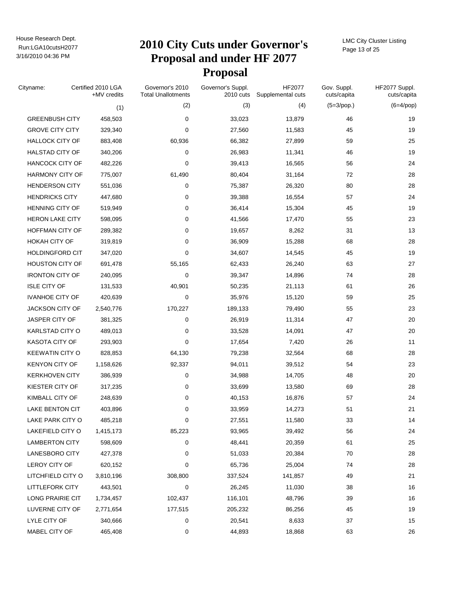# Run:LGA10cutsH2077 **2010 City Cuts under Governor's Proposal and under HF 2077 Proposal**

LMC City Cluster Listing Page 13 of 25

| Cityname:              | Certified 2010 LGA<br>+MV credits | Governor's 2010<br><b>Total Unallotments</b> | Governor's Suppl.<br>2010 cuts | HF2077<br>Supplemental cuts | Gov. Suppl.<br>cuts/capita | HF2077 Suppl.<br>cuts/capita |
|------------------------|-----------------------------------|----------------------------------------------|--------------------------------|-----------------------------|----------------------------|------------------------------|
|                        | (1)                               | (2)                                          | (3)                            | (4)                         | $(5=3$ /pop.)              | $(6=4$ /pop)                 |
| <b>GREENBUSH CITY</b>  | 458,503                           | 0                                            | 33,023                         | 13,879                      | 46                         | 19                           |
| <b>GROVE CITY CITY</b> | 329,340                           | 0                                            | 27,560                         | 11,583                      | 45                         | 19                           |
| <b>HALLOCK CITY OF</b> | 883,408                           | 60,936                                       | 66,382                         | 27,899                      | 59                         | 25                           |
| <b>HALSTAD CITY OF</b> | 340,206                           | 0                                            | 26,983                         | 11,341                      | 46                         | 19                           |
| <b>HANCOCK CITY OF</b> | 482,226                           | 0                                            | 39,413                         | 16,565                      | 56                         | 24                           |
| <b>HARMONY CITY OF</b> | 775,007                           | 61,490                                       | 80,404                         | 31,164                      | 72                         | 28                           |
| <b>HENDERSON CITY</b>  | 551,036                           | 0                                            | 75,387                         | 26,320                      | 80                         | 28                           |
| <b>HENDRICKS CITY</b>  | 447,680                           | 0                                            | 39,388                         | 16,554                      | 57                         | 24                           |
| HENNING CITY OF        | 519,949                           | 0                                            | 36,414                         | 15,304                      | 45                         | 19                           |
| <b>HERON LAKE CITY</b> | 598,095                           | 0                                            | 41,566                         | 17,470                      | 55                         | 23                           |
| HOFFMAN CITY OF        | 289,382                           | 0                                            | 19,657                         | 8,262                       | 31                         | 13                           |
| <b>HOKAH CITY OF</b>   | 319,819                           | 0                                            | 36,909                         | 15,288                      | 68                         | 28                           |
| <b>HOLDINGFORD CIT</b> | 347,020                           | 0                                            | 34,607                         | 14,545                      | 45                         | 19                           |
| <b>HOUSTON CITY OF</b> | 691,478                           | 55,165                                       | 62,433                         | 26,240                      | 63                         | 27                           |
| <b>IRONTON CITY OF</b> | 240,095                           | 0                                            | 39,347                         | 14,896                      | 74                         | 28                           |
| <b>ISLE CITY OF</b>    | 131,533                           | 40,901                                       | 50,235                         | 21,113                      | 61                         | 26                           |
| <b>IVANHOE CITY OF</b> | 420,639                           | 0                                            | 35,976                         | 15,120                      | 59                         | 25                           |
| <b>JACKSON CITY OF</b> | 2,540,776                         | 170,227                                      | 189,133                        | 79,490                      | 55                         | 23                           |
| JASPER CITY OF         | 381,325                           | 0                                            | 26,919                         | 11,314                      | 47                         | 20                           |
| KARLSTAD CITY O        | 489,013                           | 0                                            | 33,528                         | 14,091                      | 47                         | 20                           |
| <b>KASOTA CITY OF</b>  | 293,903                           | $\mathbf 0$                                  | 17,654                         | 7,420                       | 26                         | 11                           |
| <b>KEEWATIN CITY O</b> | 828,853                           | 64,130                                       | 79,238                         | 32,564                      | 68                         | 28                           |
| <b>KENYON CITY OF</b>  | 1,158,626                         | 92,337                                       | 94,011                         | 39,512                      | 54                         | 23                           |
| <b>KERKHOVEN CITY</b>  | 386,939                           | 0                                            | 34,988                         | 14,705                      | 48                         | 20                           |
| KIESTER CITY OF        | 317,235                           | 0                                            | 33,699                         | 13,580                      | 69                         | 28                           |
| <b>KIMBALL CITY OF</b> | 248,639                           | 0                                            | 40,153                         | 16,876                      | 57                         | 24                           |
| LAKE BENTON CIT        | 403,896                           | 0                                            | 33,959                         | 14,273                      | 51                         | 21                           |
| LAKE PARK CITY O       | 485,218                           | 0                                            | 27,551                         | 11,580                      | 33                         | 14                           |
| LAKEFIELD CITY O       | 1,415,173                         | 85,223                                       | 93,965                         | 39,492                      | 56                         | 24                           |
| <b>LAMBERTON CITY</b>  | 598,609                           | 0                                            | 48,441                         | 20,359                      | 61                         | 25                           |
| LANESBORO CITY         | 427,378                           | 0                                            | 51,033                         | 20,384                      | 70                         | 28                           |
| LEROY CITY OF          | 620,152                           | 0                                            | 65,736                         | 25,004                      | 74                         | 28                           |
| LITCHFIELD CITY O      | 3,810,196                         | 308,800                                      | 337,524                        | 141,857                     | 49                         | 21                           |
| <b>LITTLEFORK CITY</b> | 443,501                           | 0                                            | 26,245                         | 11,030                      | 38                         | 16                           |
| LONG PRAIRIE CIT       | 1,734,457                         | 102,437                                      | 116,101                        | 48,796                      | 39                         | 16                           |
| LUVERNE CITY OF        | 2,771,654                         | 177,515                                      | 205,232                        | 86,256                      | 45                         | 19                           |
| LYLE CITY OF           | 340,666                           | 0                                            | 20,541                         | 8,633                       | 37                         | 15                           |
| MABEL CITY OF          | 465,408                           | 0                                            | 44,893                         | 18,868                      | 63                         | 26                           |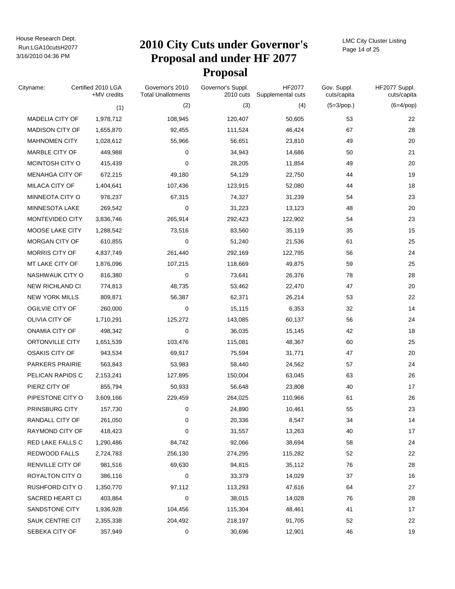# Run:LGA10cutsH2077 **2010 City Cuts under Governor's Proposal and under HF 2077 Proposal**

LMC City Cluster Listing Page 14 of 25

| Cityname:              | Certified 2010 LGA<br>+MV credits | Governor's 2010<br><b>Total Unallotments</b> | Governor's Suppl.<br>2010 cuts | HF2077<br>Supplemental cuts | Gov. Suppl.<br>cuts/capita | HF2077 Suppl.<br>cuts/capita |
|------------------------|-----------------------------------|----------------------------------------------|--------------------------------|-----------------------------|----------------------------|------------------------------|
|                        | (1)                               | (2)                                          | (3)                            | (4)                         | $(5=3$ /pop.)              | $(6=4$ /pop)                 |
| MADELIA CITY OF        | 1,978,712                         | 108,945                                      | 120,407                        | 50,605                      | 53                         | 22                           |
| <b>MADISON CITY OF</b> | 1,655,870                         | 92,455                                       | 111,524                        | 46,424                      | 67                         | 28                           |
| <b>MAHNOMEN CITY</b>   | 1,028,612                         | 55,966                                       | 56,651                         | 23,810                      | 49                         | 20                           |
| MARBLE CITY OF         | 449,988                           | 0                                            | 34,943                         | 14,686                      | 50                         | 21                           |
| MCINTOSH CITY O        | 415,439                           | 0                                            | 28,205                         | 11,854                      | 49                         | 20                           |
| <b>MENAHGA CITY OF</b> | 672,215                           | 49,180                                       | 54,129                         | 22,750                      | 44                         | 19                           |
| MILACA CITY OF         | 1,404,641                         | 107,436                                      | 123,915                        | 52,080                      | 44                         | 18                           |
| MINNEOTA CITY O        | 976,237                           | 67,315                                       | 74,327                         | 31,239                      | 54                         | 23                           |
| MINNESOTA LAKE         | 269,542                           | 0                                            | 31,223                         | 13,123                      | 48                         | 20                           |
| MONTEVIDEO CITY        | 3,836,746                         | 265,914                                      | 292,423                        | 122,902                     | 54                         | 23                           |
| MOOSE LAKE CITY        | 1,288,542                         | 73,516                                       | 83,560                         | 35,119                      | 35                         | 15                           |
| MORGAN CITY OF         | 610,855                           | 0                                            | 51,240                         | 21,536                      | 61                         | 25                           |
| MORRIS CITY OF         | 4,837,749                         | 261,440                                      | 292,169                        | 122,795                     | 56                         | 24                           |
| MT LAKE CITY OF        | 1,876,096                         | 107,215                                      | 118,669                        | 49,875                      | 59                         | 25                           |
| NASHWAUK CITY O        | 816,380                           | 0                                            | 73,641                         | 26,376                      | 78                         | 28                           |
| <b>NEW RICHLAND CI</b> | 774,813                           | 48,735                                       | 53,462                         | 22,470                      | 47                         | 20                           |
| <b>NEW YORK MILLS</b>  | 809,871                           | 56,387                                       | 62,371                         | 26,214                      | 53                         | 22                           |
| OGILVIE CITY OF        | 260,000                           | 0                                            | 15,115                         | 6,353                       | 32                         | 14                           |
| OLIVIA CITY OF         | 1,710,291                         | 125,272                                      | 143,085                        | 60,137                      | 56                         | 24                           |
| ONAMIA CITY OF         | 498,342                           | 0                                            | 36,035                         | 15,145                      | 42                         | 18                           |
| ORTONVILLE CITY        | 1,651,539                         | 103,476                                      | 115,081                        | 48,367                      | 60                         | 25                           |
| <b>OSAKIS CITY OF</b>  | 943,534                           | 69,917                                       | 75,594                         | 31,771                      | 47                         | 20                           |
| <b>PARKERS PRAIRIE</b> | 563,843                           | 53,983                                       | 58,440                         | 24,562                      | 57                         | 24                           |
| PELICAN RAPIDS C       | 2,153,241                         | 127,895                                      | 150,004                        | 63,045                      | 63                         | 26                           |
| PIERZ CITY OF          | 855,794                           | 50,933                                       | 56,648                         | 23,808                      | 40                         | 17                           |
| PIPESTONE CITY O       | 3,609,166                         | 229,459                                      | 264,025                        | 110,966                     | 61                         | 26                           |
| <b>PRINSBURG CITY</b>  | 157,730                           | 0                                            | 24,890                         | 10,461                      | 55                         | 23                           |
| RANDALL CITY OF        | 261,050                           | 0                                            | 20,336                         | 8,547                       | 34                         | 14                           |
| RAYMOND CITY OF        | 418,423                           | 0                                            | 31,557                         | 13,263                      | 40                         | 17                           |
| RED LAKE FALLS C       | 1,290,486                         | 84,742                                       | 92,066                         | 38,694                      | 58                         | 24                           |
| REDWOOD FALLS          | 2,724,783                         | 256,130                                      | 274,295                        | 115,282                     | 52                         | 22                           |
| RENVILLE CITY OF       | 981,516                           | 69,630                                       | 94,815                         | 35,112                      | 76                         | 28                           |
| ROYALTON CITY O        | 386,116                           | 0                                            | 33,379                         | 14,029                      | 37                         | 16                           |
| RUSHFORD CITY O        | 1,350,770                         | 97,112                                       | 113,293                        | 47,616                      | 64                         | $27\,$                       |
| SACRED HEART CI        | 403,864                           | 0                                            | 38,015                         | 14,028                      | 76                         | 28                           |
| SANDSTONE CITY         | 1,936,928                         | 104,456                                      | 115,304                        | 48,461                      | 41                         | 17                           |
| SAUK CENTRE CIT        | 2,355,338                         | 204,492                                      | 218,197                        | 91,705                      | 52                         | 22                           |
| SEBEKA CITY OF         | 357,949                           | 0                                            | 30,696                         | 12,901                      | 46                         | 19                           |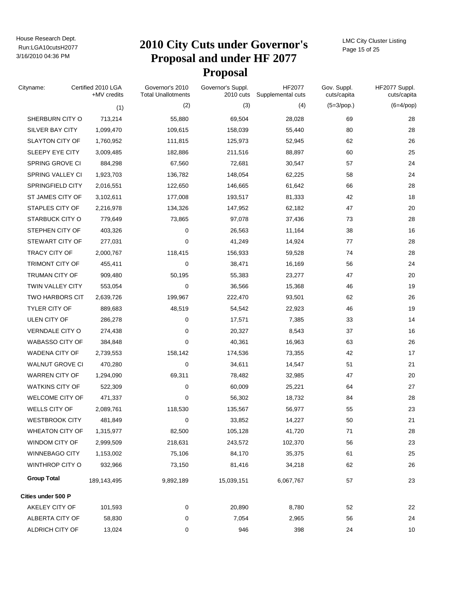# Run:LGA10cutsH2077 **2010 City Cuts under Governor's Proposal and under HF 2077 Proposal**

LMC City Cluster Listing Page 15 of 25

| Cityname:               | Certified 2010 LGA<br>+MV credits | Governor's 2010<br><b>Total Unallotments</b> | Governor's Suppl.<br>2010 cuts | HF2077<br>Supplemental cuts | Gov. Suppl.<br>cuts/capita | HF2077 Suppl.<br>cuts/capita |
|-------------------------|-----------------------------------|----------------------------------------------|--------------------------------|-----------------------------|----------------------------|------------------------------|
|                         | (1)                               | (2)                                          | (3)                            | (4)                         | $(5=3$ /pop.)              | $(6=4$ /pop)                 |
| SHERBURN CITY O         | 713,214                           | 55,880                                       | 69,504                         | 28,028                      | 69                         | 28                           |
| <b>SILVER BAY CITY</b>  | 1,099,470                         | 109,615                                      | 158,039                        | 55,440                      | 80                         | 28                           |
| <b>SLAYTON CITY OF</b>  | 1,760,952                         | 111,815                                      | 125,973                        | 52,945                      | 62                         | 26                           |
| SLEEPY EYE CITY         | 3,009,485                         | 182,886                                      | 211,516                        | 88,897                      | 60                         | 25                           |
| SPRING GROVE CI         | 884,298                           | 67,560                                       | 72,681                         | 30,547                      | 57                         | 24                           |
| SPRING VALLEY CI        | 1,923,703                         | 136,782                                      | 148,054                        | 62,225                      | 58                         | 24                           |
| <b>SPRINGFIELD CITY</b> | 2,016,551                         | 122,650                                      | 146,665                        | 61,642                      | 66                         | 28                           |
| ST JAMES CITY OF        | 3,102,611                         | 177,008                                      | 193,517                        | 81,333                      | 42                         | 18                           |
| STAPLES CITY OF         | 2,216,978                         | 134,326                                      | 147,952                        | 62,182                      | 47                         | 20                           |
| STARBUCK CITY O         | 779,649                           | 73,865                                       | 97,078                         | 37,436                      | 73                         | 28                           |
| STEPHEN CITY OF         | 403,326                           | 0                                            | 26,563                         | 11,164                      | 38                         | 16                           |
| STEWART CITY OF         | 277,031                           | 0                                            | 41,249                         | 14,924                      | 77                         | 28                           |
| <b>TRACY CITY OF</b>    | 2,000,767                         | 118,415                                      | 156,933                        | 59,528                      | 74                         | 28                           |
| TRIMONT CITY OF         | 455,411                           | 0                                            | 38,471                         | 16,169                      | 56                         | 24                           |
| <b>TRUMAN CITY OF</b>   | 909,480                           | 50,195                                       | 55,383                         | 23,277                      | 47                         | 20                           |
| TWIN VALLEY CITY        | 553,054                           | 0                                            | 36,566                         | 15,368                      | 46                         | 19                           |
| <b>TWO HARBORS CIT</b>  | 2,639,726                         | 199,967                                      | 222,470                        | 93,501                      | 62                         | 26                           |
| <b>TYLER CITY OF</b>    | 889,683                           | 48,519                                       | 54,542                         | 22,923                      | 46                         | 19                           |
| ULEN CITY OF            | 286,278                           | 0                                            | 17,571                         | 7,385                       | 33                         | 14                           |
| VERNDALE CITY O         | 274,438                           | 0                                            | 20,327                         | 8,543                       | 37                         | 16                           |
| <b>WABASSO CITY OF</b>  | 384,848                           | 0                                            | 40,361                         | 16,963                      | 63                         | 26                           |
| <b>WADENA CITY OF</b>   | 2,739,553                         | 158,142                                      | 174,536                        | 73,355                      | 42                         | 17                           |
| <b>WALNUT GROVE CI</b>  | 470,280                           | 0                                            | 34,611                         | 14,547                      | 51                         | 21                           |
| <b>WARREN CITY OF</b>   | 1,294,090                         | 69,311                                       | 78,482                         | 32,985                      | 47                         | 20                           |
| WATKINS CITY OF         | 522,309                           | 0                                            | 60,009                         | 25,221                      | 64                         | 27                           |
| <b>WELCOME CITY OF</b>  | 471,337                           | 0                                            | 56,302                         | 18,732                      | 84                         | 28                           |
| WELLS CITY OF           | 2,089,761                         | 118,530                                      | 135,567                        | 56,977                      | 55                         | 23                           |
| WESTBROOK CITY          | 481,849                           | 0                                            | 33,852                         | 14,227                      | 50                         | 21                           |
| <b>WHEATON CITY OF</b>  | 1,315,977                         | 82,500                                       | 105,128                        | 41,720                      | 71                         | 28                           |
| WINDOM CITY OF          | 2,999,509                         | 218,631                                      | 243,572                        | 102,370                     | 56                         | 23                           |
| <b>WINNEBAGO CITY</b>   | 1,153,002                         | 75,106                                       | 84,170                         | 35,375                      | 61                         | 25                           |
| WINTHROP CITY O         | 932,966                           | 73,150                                       | 81,416                         | 34,218                      | 62                         | 26                           |
| <b>Group Total</b>      | 189,143,495                       | 9,892,189                                    | 15,039,151                     | 6,067,767                   | 57                         | 23                           |
| Cities under 500 P      |                                   |                                              |                                |                             |                            |                              |
| AKELEY CITY OF          | 101,593                           | 0                                            | 20,890                         | 8,780                       | 52                         | 22                           |
| ALBERTA CITY OF         | 58,830                            | 0                                            | 7,054                          | 2,965                       | 56                         | 24                           |
| ALDRICH CITY OF         | 13,024                            | 0                                            | 946                            | 398                         | 24                         | 10                           |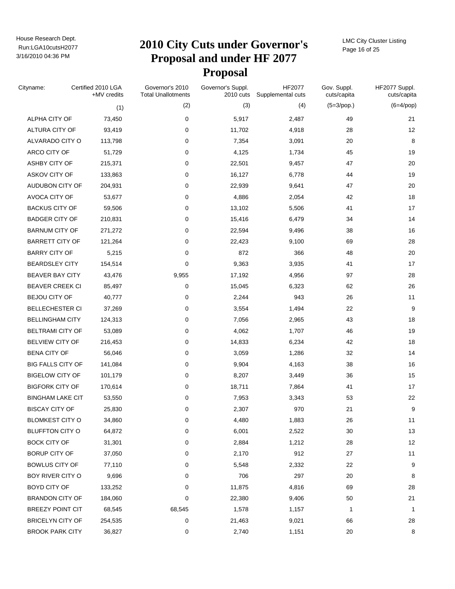# Run:LGA10cutsH2077 **2010 City Cuts under Governor's Proposal and under HF 2077 Proposal**

LMC City Cluster Listing Page 16 of 25

| Cityname:                | Certified 2010 LGA<br>+MV credits | Governor's 2010<br><b>Total Unallotments</b> | Governor's Suppl.<br>2010 cuts | HF2077<br>Supplemental cuts | Gov. Suppl.<br>cuts/capita | HF2077 Suppl.<br>cuts/capita |
|--------------------------|-----------------------------------|----------------------------------------------|--------------------------------|-----------------------------|----------------------------|------------------------------|
|                          | (1)                               | (2)                                          | (3)                            | (4)                         | $(5=3$ /pop.)              | $(6=4$ /pop)                 |
| ALPHA CITY OF            | 73,450                            | 0                                            | 5,917                          | 2,487                       | 49                         | 21                           |
| ALTURA CITY OF           | 93,419                            | 0                                            | 11,702                         | 4,918                       | 28                         | 12                           |
| ALVARADO CITY O          | 113,798                           | 0                                            | 7,354                          | 3,091                       | 20                         | 8                            |
| ARCO CITY OF             | 51,729                            | $\mathbf 0$                                  | 4,125                          | 1,734                       | 45                         | 19                           |
| ASHBY CITY OF            | 215,371                           | 0                                            | 22,501                         | 9,457                       | 47                         | 20                           |
| ASKOV CITY OF            | 133,863                           | 0                                            | 16,127                         | 6,778                       | 44                         | 19                           |
| AUDUBON CITY OF          | 204,931                           | 0                                            | 22,939                         | 9,641                       | 47                         | 20                           |
| AVOCA CITY OF            | 53,677                            | 0                                            | 4,886                          | 2,054                       | 42                         | 18                           |
| <b>BACKUS CITY OF</b>    | 59,506                            | 0                                            | 13,102                         | 5,506                       | 41                         | 17                           |
| <b>BADGER CITY OF</b>    | 210,831                           | 0                                            | 15,416                         | 6,479                       | 34                         | 14                           |
| <b>BARNUM CITY OF</b>    | 271,272                           | 0                                            | 22,594                         | 9,496                       | 38                         | 16                           |
| <b>BARRETT CITY OF</b>   | 121,264                           | 0                                            | 22,423                         | 9,100                       | 69                         | 28                           |
| <b>BARRY CITY OF</b>     | 5,215                             | 0                                            | 872                            | 366                         | 48                         | 20                           |
| <b>BEARDSLEY CITY</b>    | 154,514                           | 0                                            | 9,363                          | 3,935                       | 41                         | 17                           |
| <b>BEAVER BAY CITY</b>   | 43,476                            | 9,955                                        | 17,192                         | 4,956                       | 97                         | 28                           |
| <b>BEAVER CREEK CI</b>   | 85,497                            | 0                                            | 15,045                         | 6,323                       | 62                         | 26                           |
| BEJOU CITY OF            | 40,777                            | $\mathbf 0$                                  | 2,244                          | 943                         | 26                         | 11                           |
| <b>BELLECHESTER CI</b>   | 37,269                            | 0                                            | 3,554                          | 1,494                       | 22                         | 9                            |
| <b>BELLINGHAM CITY</b>   | 124,313                           | 0                                            | 7,056                          | 2,965                       | 43                         | 18                           |
| <b>BELTRAMI CITY OF</b>  | 53,089                            | 0                                            | 4,062                          | 1,707                       | 46                         | 19                           |
| <b>BELVIEW CITY OF</b>   | 216,453                           | 0                                            | 14,833                         | 6,234                       | 42                         | 18                           |
| <b>BENA CITY OF</b>      | 56,046                            | 0                                            | 3,059                          | 1,286                       | 32                         | 14                           |
| <b>BIG FALLS CITY OF</b> | 141,084                           | 0                                            | 9,904                          | 4,163                       | 38                         | 16                           |
| <b>BIGELOW CITY OF</b>   | 101,179                           | 0                                            | 8,207                          | 3,449                       | 36                         | 15                           |
| <b>BIGFORK CITY OF</b>   | 170,614                           | 0                                            | 18,711                         | 7,864                       | 41                         | 17                           |
| <b>BINGHAM LAKE CIT</b>  | 53,550                            | 0                                            | 7,953                          | 3,343                       | 53                         | 22                           |
| <b>BISCAY CITY OF</b>    | 25,830                            | 0                                            | 2,307                          | 970                         | 21                         | 9                            |
| <b>BLOMKEST CITY O</b>   | 34,860                            | 0                                            | 4,480                          | 1,883                       | 26                         | 11                           |
| <b>BLUFFTON CITY O</b>   | 64,872                            | 0                                            | 6,001                          | 2,522                       | 30                         | 13                           |
| <b>BOCK CITY OF</b>      | 31,301                            | 0                                            | 2,884                          | 1,212                       | 28                         | 12                           |
| <b>BORUP CITY OF</b>     | 37,050                            | 0                                            | 2,170                          | 912                         | 27                         | 11                           |
| <b>BOWLUS CITY OF</b>    | 77,110                            | 0                                            | 5,548                          | 2,332                       | 22                         | 9                            |
| BOY RIVER CITY O         | 9,696                             | 0                                            | 706                            | 297                         | 20                         | 8                            |
| BOYD CITY OF             | 133,252                           | 0                                            | 11,875                         | 4,816                       | 69                         | 28                           |
| <b>BRANDON CITY OF</b>   | 184,060                           | 0                                            | 22,380                         | 9,406                       | 50                         | 21                           |
| <b>BREEZY POINT CIT</b>  | 68,545                            | 68,545                                       | 1,578                          | 1,157                       | 1                          | 1                            |
| <b>BRICELYN CITY OF</b>  | 254,535                           | 0                                            | 21,463                         | 9,021                       | 66                         | 28                           |
| <b>BROOK PARK CITY</b>   | 36,827                            | 0                                            | 2,740                          | 1,151                       | 20                         | 8                            |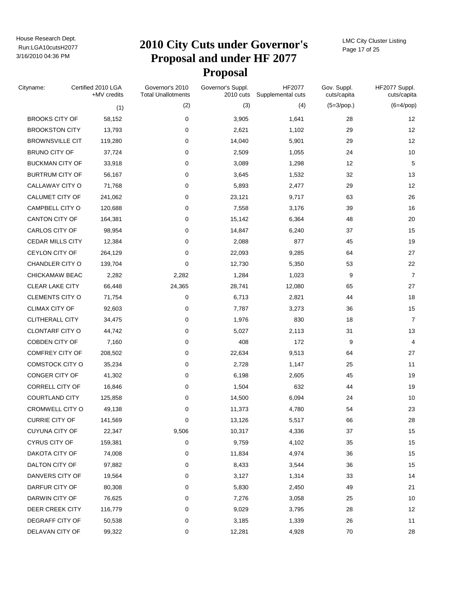# Run:LGA10cutsH2077 **2010 City Cuts under Governor's Proposal and under HF 2077 Proposal**

LMC City Cluster Listing Page 17 of 25

| Cityname:               | Certified 2010 LGA<br>+MV credits | Governor's 2010<br><b>Total Unallotments</b> | Governor's Suppl.<br>2010 cuts | HF2077<br>Supplemental cuts | Gov. Suppl.<br>cuts/capita | HF2077 Suppl.<br>cuts/capita |
|-------------------------|-----------------------------------|----------------------------------------------|--------------------------------|-----------------------------|----------------------------|------------------------------|
|                         | (1)                               | (2)                                          | (3)                            | (4)                         | $(5=3$ /pop.)              | $(6=4$ /pop)                 |
| <b>BROOKS CITY OF</b>   | 58,152                            | 0                                            | 3,905                          | 1,641                       | 28                         | 12                           |
| <b>BROOKSTON CITY</b>   | 13,793                            | 0                                            | 2,621                          | 1,102                       | 29                         | 12                           |
| <b>BROWNSVILLE CIT</b>  | 119,280                           | 0                                            | 14,040                         | 5,901                       | 29                         | 12                           |
| <b>BRUNO CITY OF</b>    | 37,724                            | 0                                            | 2,509                          | 1,055                       | 24                         | 10                           |
| <b>BUCKMAN CITY OF</b>  | 33,918                            | 0                                            | 3,089                          | 1,298                       | 12                         | 5                            |
| <b>BURTRUM CITY OF</b>  | 56,167                            | 0                                            | 3,645                          | 1,532                       | 32                         | 13                           |
| CALLAWAY CITY O         | 71,768                            | 0                                            | 5,893                          | 2,477                       | 29                         | 12                           |
| CALUMET CITY OF         | 241,062                           | 0                                            | 23,121                         | 9,717                       | 63                         | 26                           |
| CAMPBELL CITY O         | 120,688                           | 0                                            | 7,558                          | 3,176                       | 39                         | 16                           |
| CANTON CITY OF          | 164,381                           | 0                                            | 15,142                         | 6,364                       | 48                         | 20                           |
| CARLOS CITY OF          | 98,954                            | 0                                            | 14,847                         | 6,240                       | 37                         | 15                           |
| <b>CEDAR MILLS CITY</b> | 12,384                            | 0                                            | 2,088                          | 877                         | 45                         | 19                           |
| CEYLON CITY OF          | 264,129                           | 0                                            | 22,093                         | 9,285                       | 64                         | 27                           |
| CHANDLER CITY O         | 139,704                           | $\mathbf 0$                                  | 12,730                         | 5,350                       | 53                         | 22                           |
| CHICKAMAW BEAC          | 2,282                             | 2,282                                        | 1,284                          | 1,023                       | 9                          | $\overline{7}$               |
| <b>CLEAR LAKE CITY</b>  | 66,448                            | 24,365                                       | 28,741                         | 12,080                      | 65                         | 27                           |
| <b>CLEMENTS CITY O</b>  | 71,754                            | 0                                            | 6,713                          | 2,821                       | 44                         | 18                           |
| CLIMAX CITY OF          | 92,603                            | 0                                            | 7,787                          | 3,273                       | 36                         | 15                           |
| CLITHERALL CITY         | 34,475                            | 0                                            | 1,976                          | 830                         | 18                         | $\overline{7}$               |
| CLONTARF CITY O         | 44,742                            | 0                                            | 5,027                          | 2,113                       | 31                         | 13                           |
| COBDEN CITY OF          | 7,160                             | 0                                            | 408                            | 172                         | 9                          | 4                            |
| COMFREY CITY OF         | 208,502                           | 0                                            | 22,634                         | 9,513                       | 64                         | 27                           |
| COMSTOCK CITY O         | 35,234                            | 0                                            | 2,728                          | 1,147                       | 25                         | 11                           |
| CONGER CITY OF          | 41,302                            | 0                                            | 6,198                          | 2,605                       | 45                         | 19                           |
| CORRELL CITY OF         | 16,846                            | 0                                            | 1,504                          | 632                         | 44                         | 19                           |
| <b>COURTLAND CITY</b>   | 125,858                           | 0                                            | 14,500                         | 6,094                       | 24                         | 10                           |
| CROMWELL CITY O         | 49,138                            | 0                                            | 11,373                         | 4,780                       | 54                         | 23                           |
| <b>CURRIE CITY OF</b>   | 141,569                           | 0                                            | 13,126                         | 5,517                       | 66                         | 28                           |
| <b>CUYUNA CITY OF</b>   | 22,347                            | 9,506                                        | 10,317                         | 4,336                       | 37                         | 15                           |
| <b>CYRUS CITY OF</b>    | 159,381                           | 0                                            | 9,759                          | 4,102                       | 35                         | 15                           |
| DAKOTA CITY OF          | 74,008                            | 0                                            | 11,834                         | 4,974                       | 36                         | 15                           |
| DALTON CITY OF          | 97,882                            | 0                                            | 8,433                          | 3,544                       | 36                         | 15                           |
| DANVERS CITY OF         | 19,564                            | 0                                            | 3,127                          | 1,314                       | 33                         | 14                           |
| DARFUR CITY OF          | 80,308                            | 0                                            | 5,830                          | 2,450                       | 49                         | 21                           |
| DARWIN CITY OF          | 76,625                            | 0                                            | 7,276                          | 3,058                       | 25                         | 10                           |
| <b>DEER CREEK CITY</b>  | 116,779                           | 0                                            | 9,029                          | 3,795                       | 28                         | 12                           |
| DEGRAFF CITY OF         | 50,538                            | 0                                            | 3,185                          | 1,339                       | 26                         | 11                           |
| DELAVAN CITY OF         | 99,322                            | 0                                            | 12,281                         | 4,928                       | 70                         | 28                           |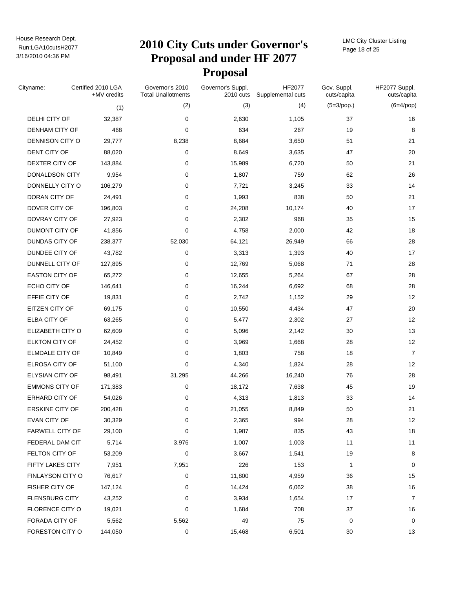# Run:LGA10cutsH2077 **2010 City Cuts under Governor's Proposal and under HF 2077 Proposal**

LMC City Cluster Listing Page 18 of 25

| Cityname:              | Certified 2010 LGA<br>+MV credits | Governor's 2010<br><b>Total Unallotments</b> | Governor's Suppl.<br>2010 cuts | HF2077<br>Supplemental cuts | Gov. Suppl.<br>cuts/capita | HF2077 Suppl.<br>cuts/capita |
|------------------------|-----------------------------------|----------------------------------------------|--------------------------------|-----------------------------|----------------------------|------------------------------|
|                        | (1)                               | (2)                                          | (3)                            | (4)                         | $(5=3$ /pop.)              | $(6=4$ /pop)                 |
| DELHI CITY OF          | 32,387                            | 0                                            | 2,630                          | 1,105                       | 37                         | 16                           |
| DENHAM CITY OF         | 468                               | 0                                            | 634                            | 267                         | 19                         | 8                            |
| DENNISON CITY O        | 29,777                            | 8,238                                        | 8,684                          | 3,650                       | 51                         | 21                           |
| DENT CITY OF           | 88,020                            | 0                                            | 8,649                          | 3,635                       | 47                         | 20                           |
| DEXTER CITY OF         | 143,884                           | 0                                            | 15,989                         | 6,720                       | 50                         | 21                           |
| <b>DONALDSON CITY</b>  | 9,954                             | 0                                            | 1,807                          | 759                         | 62                         | 26                           |
| DONNELLY CITY O        | 106,279                           | 0                                            | 7,721                          | 3,245                       | 33                         | 14                           |
| DORAN CITY OF          | 24,491                            | 0                                            | 1,993                          | 838                         | 50                         | 21                           |
| DOVER CITY OF          | 196,803                           | $\mathbf 0$                                  | 24,208                         | 10,174                      | 40                         | 17                           |
| DOVRAY CITY OF         | 27,923                            | 0                                            | 2,302                          | 968                         | 35                         | 15                           |
| DUMONT CITY OF         | 41,856                            | 0                                            | 4,758                          | 2,000                       | 42                         | 18                           |
| DUNDAS CITY OF         | 238,377                           | 52,030                                       | 64,121                         | 26,949                      | 66                         | 28                           |
| DUNDEE CITY OF         | 43,782                            | 0                                            | 3,313                          | 1,393                       | 40                         | 17                           |
| DUNNELL CITY OF        | 127,895                           | 0                                            | 12,769                         | 5,068                       | 71                         | 28                           |
| <b>EASTON CITY OF</b>  | 65,272                            | 0                                            | 12,655                         | 5,264                       | 67                         | 28                           |
| ECHO CITY OF           | 146,641                           | 0                                            | 16,244                         | 6,692                       | 68                         | 28                           |
| EFFIE CITY OF          | 19,831                            | 0                                            | 2,742                          | 1,152                       | 29                         | 12                           |
| EITZEN CITY OF         | 69,175                            | 0                                            | 10,550                         | 4,434                       | 47                         | 20                           |
| ELBA CITY OF           | 63,265                            | 0                                            | 5,477                          | 2,302                       | 27                         | 12                           |
| ELIZABETH CITY O       | 62,609                            | 0                                            | 5,096                          | 2,142                       | 30                         | 13                           |
| ELKTON CITY OF         | 24,452                            | 0                                            | 3,969                          | 1,668                       | 28                         | 12                           |
| <b>ELMDALE CITY OF</b> | 10,849                            | 0                                            | 1,803                          | 758                         | 18                         | $\overline{7}$               |
| ELROSA CITY OF         | 51,100                            | 0                                            | 4,340                          | 1,824                       | 28                         | 12                           |
| <b>ELYSIAN CITY OF</b> | 98,491                            | 31,295                                       | 44,266                         | 16,240                      | 76                         | 28                           |
| <b>EMMONS CITY OF</b>  | 171,383                           | 0                                            | 18,172                         | 7,638                       | 45                         | 19                           |
| <b>ERHARD CITY OF</b>  | 54,026                            | 0                                            | 4,313                          | 1,813                       | 33                         | 14                           |
| <b>ERSKINE CITY OF</b> | 200,428                           | 0                                            | 21,055                         | 8,849                       | 50                         | 21                           |
| EVAN CITY OF           | 30,329                            | 0                                            | 2,365                          | 994                         | 28                         | 12                           |
| <b>FARWELL CITY OF</b> | 29,100                            | 0                                            | 1,987                          | 835                         | 43                         | 18                           |
| FEDERAL DAM CIT        | 5,714                             | 3,976                                        | 1,007                          | 1,003                       | 11                         | 11                           |
| FELTON CITY OF         | 53,209                            | 0                                            | 3,667                          | 1,541                       | 19                         | 8                            |
| FIFTY LAKES CITY       | 7,951                             | 7,951                                        | 226                            | 153                         | 1                          | 0                            |
| FINLAYSON CITY O       | 76,617                            | 0                                            | 11,800                         | 4,959                       | 36                         | 15                           |
| FISHER CITY OF         | 147,124                           | 0                                            | 14,424                         | 6,062                       | 38                         | $16\,$                       |
| <b>FLENSBURG CITY</b>  | 43,252                            | 0                                            | 3,934                          | 1,654                       | 17                         | 7                            |
| <b>FLORENCE CITY O</b> | 19,021                            | 0                                            | 1,684                          | 708                         | 37                         | 16                           |
| FORADA CITY OF         | 5,562                             | 5,562                                        | 49                             | 75                          | 0                          | 0                            |
| FORESTON CITY O        | 144,050                           | 0                                            | 15,468                         | 6,501                       | 30                         | 13                           |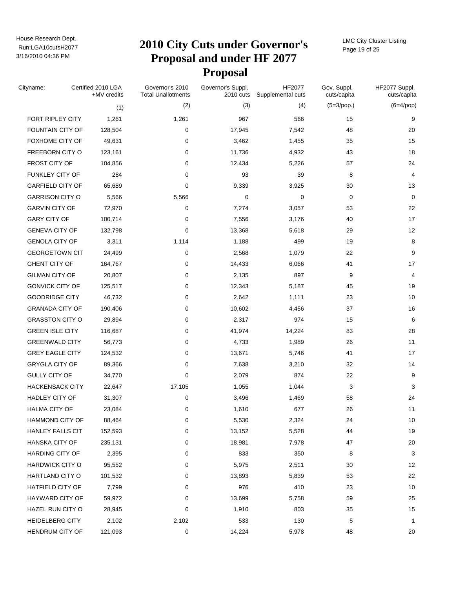# Run:LGA10cutsH2077 **2010 City Cuts under Governor's Proposal and under HF 2077 Proposal**

LMC City Cluster Listing Page 19 of 25

| Cityname:               | Certified 2010 LGA<br>+MV credits | Governor's 2010<br><b>Total Unallotments</b> | Governor's Suppl.<br>2010 cuts | HF2077<br>Supplemental cuts | Gov. Suppl.<br>cuts/capita | HF2077 Suppl.<br>cuts/capita |
|-------------------------|-----------------------------------|----------------------------------------------|--------------------------------|-----------------------------|----------------------------|------------------------------|
|                         | (1)                               | (2)                                          | (3)                            | (4)                         | $(5=3$ /pop.)              | $(6=4$ /pop)                 |
| FORT RIPLEY CITY        | 1,261                             | 1,261                                        | 967                            | 566                         | 15                         | 9                            |
| FOUNTAIN CITY OF        | 128,504                           | 0                                            | 17,945                         | 7,542                       | 48                         | 20                           |
| FOXHOME CITY OF         | 49,631                            | 0                                            | 3,462                          | 1,455                       | 35                         | 15                           |
| FREEBORN CITY O         | 123,161                           | 0                                            | 11,736                         | 4,932                       | 43                         | 18                           |
| FROST CITY OF           | 104,856                           | 0                                            | 12,434                         | 5,226                       | 57                         | 24                           |
| FUNKLEY CITY OF         | 284                               | 0                                            | 93                             | 39                          | 8                          | 4                            |
| <b>GARFIELD CITY OF</b> | 65,689                            | 0                                            | 9,339                          | 3,925                       | 30                         | 13                           |
| <b>GARRISON CITY O</b>  | 5,566                             | 5,566                                        | 0                              | $\mathbf 0$                 | 0                          | $\mathbf 0$                  |
| <b>GARVIN CITY OF</b>   | 72,970                            | 0                                            | 7,274                          | 3,057                       | 53                         | 22                           |
| <b>GARY CITY OF</b>     | 100,714                           | 0                                            | 7,556                          | 3,176                       | 40                         | 17                           |
| <b>GENEVA CITY OF</b>   | 132,798                           | 0                                            | 13,368                         | 5,618                       | 29                         | 12                           |
| <b>GENOLA CITY OF</b>   | 3,311                             | 1,114                                        | 1,188                          | 499                         | 19                         | 8                            |
| <b>GEORGETOWN CIT</b>   | 24,499                            | 0                                            | 2,568                          | 1,079                       | 22                         | 9                            |
| <b>GHENT CITY OF</b>    | 164,767                           | 0                                            | 14,433                         | 6,066                       | 41                         | 17                           |
| <b>GILMAN CITY OF</b>   | 20,807                            | 0                                            | 2,135                          | 897                         | 9                          | 4                            |
| <b>GONVICK CITY OF</b>  | 125,517                           | 0                                            | 12,343                         | 5,187                       | 45                         | 19                           |
| <b>GOODRIDGE CITY</b>   | 46,732                            | 0                                            | 2,642                          | 1,111                       | 23                         | 10                           |
| <b>GRANADA CITY OF</b>  | 190,406                           | 0                                            | 10,602                         | 4,456                       | 37                         | 16                           |
| <b>GRASSTON CITY O</b>  | 29,894                            | 0                                            | 2,317                          | 974                         | 15                         | 6                            |
| <b>GREEN ISLE CITY</b>  | 116,687                           | 0                                            | 41,974                         | 14,224                      | 83                         | 28                           |
| <b>GREENWALD CITY</b>   | 56,773                            | 0                                            | 4,733                          | 1,989                       | 26                         | 11                           |
| <b>GREY EAGLE CITY</b>  | 124,532                           | 0                                            | 13,671                         | 5,746                       | 41                         | 17                           |
| <b>GRYGLA CITY OF</b>   | 89,366                            | 0                                            | 7,638                          | 3,210                       | 32                         | 14                           |
| <b>GULLY CITY OF</b>    | 34,770                            | $\mathbf 0$                                  | 2,079                          | 874                         | 22                         | 9                            |
| <b>HACKENSACK CITY</b>  | 22,647                            | 17,105                                       | 1,055                          | 1,044                       | 3                          | 3                            |
| HADLEY CITY OF          | 31,307                            | 0                                            | 3,496                          | 1,469                       | 58                         | 24                           |
| <b>HALMA CITY OF</b>    | 23,084                            | 0                                            | 1,610                          | 677                         | 26                         | 11                           |
| <b>HAMMOND CITY OF</b>  | 88,464                            | $\mathbf 0$                                  | 5,530                          | 2,324                       | 24                         | 10                           |
| <b>HANLEY FALLS CIT</b> | 152,593                           | 0                                            | 13,152                         | 5,528                       | 44                         | 19                           |
| <b>HANSKA CITY OF</b>   | 235,131                           | 0                                            | 18,981                         | 7,978                       | 47                         | $20\,$                       |
| HARDING CITY OF         | 2,395                             | 0                                            | 833                            | 350                         | 8                          | 3                            |
| <b>HARDWICK CITY O</b>  | 95,552                            | 0                                            | 5,975                          | 2,511                       | 30                         | 12                           |
| HARTLAND CITY O         | 101,532                           | 0                                            | 13,893                         | 5,839                       | 53                         | 22                           |
| <b>HATFIELD CITY OF</b> | 7,799                             | 0                                            | 976                            | 410                         | 23                         | $10$                         |
| HAYWARD CITY OF         | 59,972                            | 0                                            | 13,699                         | 5,758                       | 59                         | 25                           |
| HAZEL RUN CITY O        | 28,945                            | 0                                            | 1,910                          | 803                         | 35                         | 15                           |
| HEIDELBERG CITY         | 2,102                             | 2,102                                        | 533                            | 130                         | 5                          | 1                            |
| HENDRUM CITY OF         | 121,093                           | 0                                            | 14,224                         | 5,978                       | 48                         | 20                           |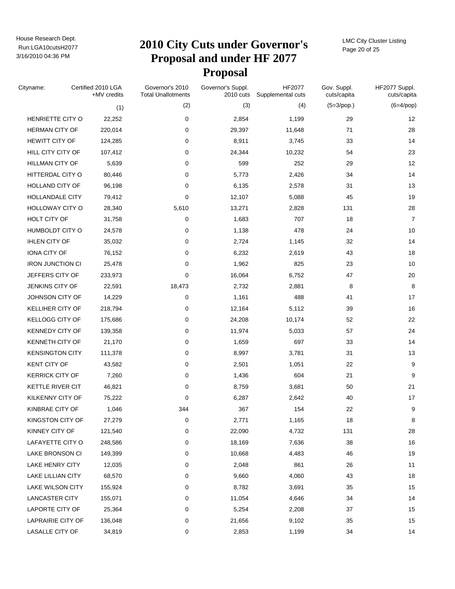# Run:LGA10cutsH2077 **2010 City Cuts under Governor's Proposal and under HF 2077 Proposal**

LMC City Cluster Listing Page 20 of 25

| Cityname:               | Certified 2010 LGA<br>+MV credits | Governor's 2010<br><b>Total Unallotments</b> | Governor's Suppl.<br>2010 cuts | HF2077<br>Supplemental cuts | Gov. Suppl.<br>cuts/capita | HF2077 Suppl.<br>cuts/capita |
|-------------------------|-----------------------------------|----------------------------------------------|--------------------------------|-----------------------------|----------------------------|------------------------------|
|                         | (1)                               | (2)                                          | (3)                            | (4)                         | $(5=3$ /pop.)              | $(6=4$ /pop)                 |
| HENRIETTE CITY O        | 22,252                            | 0                                            | 2,854                          | 1,199                       | 29                         | 12                           |
| <b>HERMAN CITY OF</b>   | 220,014                           | 0                                            | 29,397                         | 11,648                      | 71                         | 28                           |
| <b>HEWITT CITY OF</b>   | 124,285                           | 0                                            | 8,911                          | 3,745                       | 33                         | 14                           |
| HILL CITY CITY OF       | 107,412                           | 0                                            | 24,344                         | 10,232                      | 54                         | 23                           |
| <b>HILLMAN CITY OF</b>  | 5,639                             | 0                                            | 599                            | 252                         | 29                         | 12                           |
| HITTERDAL CITY O        | 80,446                            | 0                                            | 5,773                          | 2,426                       | 34                         | 14                           |
| HOLLAND CITY OF         | 96,198                            | 0                                            | 6,135                          | 2,578                       | 31                         | 13                           |
| HOLLANDALE CITY         | 79,412                            | 0                                            | 12,107                         | 5,088                       | 45                         | 19                           |
| HOLLOWAY CITY O         | 28,340                            | 5,610                                        | 13,271                         | 2,828                       | 131                        | 28                           |
| HOLT CITY OF            | 31,758                            | 0                                            | 1,683                          | 707                         | 18                         | $\overline{7}$               |
| HUMBOLDT CITY O         | 24,578                            | 0                                            | 1,138                          | 478                         | 24                         | 10                           |
| <b>IHLEN CITY OF</b>    | 35,032                            | 0                                            | 2,724                          | 1,145                       | 32                         | 14                           |
| <b>IONA CITY OF</b>     | 76,152                            | 0                                            | 6,232                          | 2,619                       | 43                         | 18                           |
| <b>IRON JUNCTION CI</b> | 25,478                            | 0                                            | 1,962                          | 825                         | 23                         | 10                           |
| JEFFERS CITY OF         | 233,973                           | 0                                            | 16,064                         | 6,752                       | 47                         | 20                           |
| JENKINS CITY OF         | 22,591                            | 18,473                                       | 2,732                          | 2,881                       | 8                          | 8                            |
| JOHNSON CITY OF         | 14,229                            | 0                                            | 1,161                          | 488                         | 41                         | 17                           |
| KELLIHER CITY OF        | 218,794                           | 0                                            | 12,164                         | 5,112                       | 39                         | 16                           |
| KELLOGG CITY OF         | 175,686                           | 0                                            | 24,208                         | 10,174                      | 52                         | 22                           |
| KENNEDY CITY OF         | 139,358                           | 0                                            | 11,974                         | 5,033                       | 57                         | 24                           |
| KENNETH CITY OF         | 21,170                            | 0                                            | 1,659                          | 697                         | 33                         | 14                           |
| <b>KENSINGTON CITY</b>  | 111,378                           | 0                                            | 8,997                          | 3,781                       | 31                         | 13                           |
| <b>KENT CITY OF</b>     | 43,582                            | 0                                            | 2,501                          | 1,051                       | 22                         | 9                            |
| <b>KERRICK CITY OF</b>  | 7,260                             | 0                                            | 1,436                          | 604                         | 21                         | 9                            |
| KETTLE RIVER CIT        | 46,821                            | 0                                            | 8,759                          | 3,681                       | 50                         | 21                           |
| KILKENNY CITY OF        | 75,222                            | $\mathbf 0$                                  | 6,287                          | 2,642                       | 40                         | 17                           |
| KINBRAE CITY OF         | 1,046                             | 344                                          | 367                            | 154                         | 22                         | 9                            |
| KINGSTON CITY OF        | 27,279                            | 0                                            | 2,771                          | 1,165                       | 18                         | 8                            |
| KINNEY CITY OF          | 121,540                           | 0                                            | 22,090                         | 4,732                       | 131                        | 28                           |
| LAFAYETTE CITY O        | 248,586                           | 0                                            | 18,169                         | 7,636                       | 38                         | 16                           |
| LAKE BRONSON CI         | 149,399                           | 0                                            | 10,668                         | 4,483                       | 46                         | 19                           |
| LAKE HENRY CITY         | 12,035                            | 0                                            | 2,048                          | 861                         | 26                         | 11                           |
| LAKE LILLIAN CITY       | 68,570                            | 0                                            | 9,660                          | 4,060                       | 43                         | 18                           |
| <b>LAKE WILSON CITY</b> | 155,924                           | 0                                            | 8,782                          | 3,691                       | 35                         | 15                           |
| LANCASTER CITY          | 155,071                           | 0                                            | 11,054                         | 4,646                       | 34                         | 14                           |
| LAPORTE CITY OF         | 25,364                            | 0                                            | 5,254                          | 2,208                       | 37                         | 15                           |
| LAPRAIRIE CITY OF       | 136,048                           | 0                                            | 21,656                         | 9,102                       | 35                         | 15                           |
| LASALLE CITY OF         | 34,819                            | 0                                            | 2,853                          | 1,199                       | 34                         | 14                           |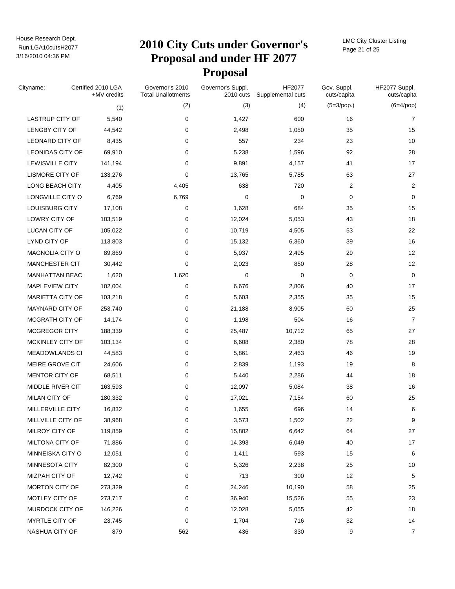# Run:LGA10cutsH2077 **2010 City Cuts under Governor's Proposal and under HF 2077 Proposal**

LMC City Cluster Listing Page 21 of 25

| Cityname:              | Certified 2010 LGA<br>+MV credits | Governor's 2010<br><b>Total Unallotments</b> | Governor's Suppl.<br>2010 cuts | HF2077<br>Supplemental cuts | Gov. Suppl.<br>cuts/capita | HF2077 Suppl.<br>cuts/capita |
|------------------------|-----------------------------------|----------------------------------------------|--------------------------------|-----------------------------|----------------------------|------------------------------|
|                        | (1)                               | (2)                                          | (3)                            | (4)                         | $(5=3$ /pop.)              | $(6=4$ /pop)                 |
| <b>LASTRUP CITY OF</b> | 5,540                             | 0                                            | 1,427                          | 600                         | 16                         | 7                            |
| LENGBY CITY OF         | 44,542                            | 0                                            | 2,498                          | 1,050                       | 35                         | 15                           |
| <b>LEONARD CITY OF</b> | 8,435                             | 0                                            | 557                            | 234                         | 23                         | 10                           |
| LEONIDAS CITY OF       | 69,910                            | 0                                            | 5,238                          | 1,596                       | 92                         | 28                           |
| LEWISVILLE CITY        | 141,194                           | 0                                            | 9,891                          | 4,157                       | 41                         | 17                           |
| LISMORE CITY OF        | 133,276                           | 0                                            | 13,765                         | 5,785                       | 63                         | 27                           |
| LONG BEACH CITY        | 4,405                             | 4,405                                        | 638                            | 720                         | 2                          | $\overline{\mathbf{c}}$      |
| LONGVILLE CITY O       | 6,769                             | 6,769                                        | 0                              | $\mathbf 0$                 | 0                          | 0                            |
| LOUISBURG CITY         | 17,108                            | 0                                            | 1,628                          | 684                         | 35                         | 15                           |
| LOWRY CITY OF          | 103,519                           | 0                                            | 12,024                         | 5,053                       | 43                         | 18                           |
| LUCAN CITY OF          | 105,022                           | 0                                            | 10,719                         | 4,505                       | 53                         | 22                           |
| LYND CITY OF           | 113,803                           | 0                                            | 15,132                         | 6,360                       | 39                         | 16                           |
| MAGNOLIA CITY O        | 89,869                            | 0                                            | 5,937                          | 2,495                       | 29                         | 12                           |
| MANCHESTER CIT         | 30,442                            | 0                                            | 2,023                          | 850                         | 28                         | 12                           |
| <b>MANHATTAN BEAC</b>  | 1,620                             | 1,620                                        | 0                              | 0                           | 0                          | $\mathbf 0$                  |
| <b>MAPLEVIEW CITY</b>  | 102,004                           | 0                                            | 6,676                          | 2,806                       | 40                         | 17                           |
| MARIETTA CITY OF       | 103,218                           | 0                                            | 5,603                          | 2,355                       | 35                         | 15                           |
| MAYNARD CITY OF        | 253,740                           | 0                                            | 21,188                         | 8,905                       | 60                         | 25                           |
| MCGRATH CITY OF        | 14,174                            | 0                                            | 1,198                          | 504                         | 16                         | $\overline{7}$               |
| <b>MCGREGOR CITY</b>   | 188,339                           | 0                                            | 25,487                         | 10,712                      | 65                         | 27                           |
| MCKINLEY CITY OF       | 103,134                           | 0                                            | 6,608                          | 2,380                       | 78                         | 28                           |
| <b>MEADOWLANDS CI</b>  | 44,583                            | 0                                            | 5,861                          | 2,463                       | 46                         | 19                           |
| MEIRE GROVE CIT        | 24,606                            | 0                                            | 2,839                          | 1,193                       | 19                         | 8                            |
| <b>MENTOR CITY OF</b>  | 68,511                            | 0                                            | 5,440                          | 2,286                       | 44                         | 18                           |
| MIDDLE RIVER CIT       | 163,593                           | 0                                            | 12,097                         | 5,084                       | 38                         | 16                           |
| <b>MILAN CITY OF</b>   | 180,332                           | 0                                            | 17,021                         | 7,154                       | 60                         | 25                           |
| MILLERVILLE CITY       | 16,832                            | 0                                            | 1,655                          | 696                         | 14                         | 6                            |
| MILLVILLE CITY OF      | 38,968                            | 0                                            | 3,573                          | 1,502                       | 22                         | 9                            |
| MILROY CITY OF         | 119,859                           | 0                                            | 15,802                         | 6,642                       | 64                         | 27                           |
| <b>MILTONA CITY OF</b> | 71,886                            | 0                                            | 14,393                         | 6,049                       | 40                         | $17$                         |
| MINNEISKA CITY O       | 12,051                            | 0                                            | 1,411                          | 593                         | 15                         | 6                            |
| MINNESOTA CITY         | 82,300                            | 0                                            | 5,326                          | 2,238                       | 25                         | 10                           |
| MIZPAH CITY OF         | 12,742                            | 0                                            | 713                            | 300                         | 12                         | 5                            |
| <b>MORTON CITY OF</b>  | 273,329                           | 0                                            | 24,246                         | 10,190                      | 58                         | 25                           |
| MOTLEY CITY OF         | 273,717                           | 0                                            | 36,940                         | 15,526                      | 55                         | 23                           |
| MURDOCK CITY OF        | 146,226                           | 0                                            | 12,028                         | 5,055                       | 42                         | 18                           |
| MYRTLE CITY OF         | 23,745                            | 0                                            | 1,704                          | 716                         | 32                         | 14                           |
| NASHUA CITY OF         | 879                               | 562                                          | 436                            | 330                         | 9                          | $\overline{7}$               |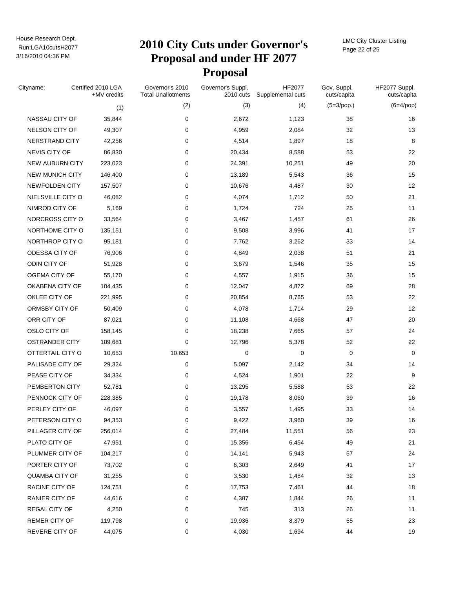# Run:LGA10cutsH2077 **2010 City Cuts under Governor's Proposal and under HF 2077 Proposal**

LMC City Cluster Listing Page 22 of 25

| Cityname:              | Certified 2010 LGA<br>+MV credits | Governor's 2010<br><b>Total Unallotments</b> | Governor's Suppl.<br>2010 cuts | HF2077<br>Supplemental cuts | Gov. Suppl.<br>cuts/capita | HF2077 Suppl.<br>cuts/capita |
|------------------------|-----------------------------------|----------------------------------------------|--------------------------------|-----------------------------|----------------------------|------------------------------|
|                        | (1)                               | (2)                                          | (3)                            | (4)                         | $(5=3$ /pop.)              | $(6=4$ /pop)                 |
| NASSAU CITY OF         | 35,844                            | 0                                            | 2,672                          | 1,123                       | 38                         | 16                           |
| NELSON CITY OF         | 49,307                            | 0                                            | 4,959                          | 2,084                       | 32                         | 13                           |
| NERSTRAND CITY         | 42,256                            | 0                                            | 4,514                          | 1,897                       | 18                         | 8                            |
| NEVIS CITY OF          | 86,830                            | 0                                            | 20,434                         | 8,588                       | 53                         | 22                           |
| <b>NEW AUBURN CITY</b> | 223,023                           | 0                                            | 24,391                         | 10,251                      | 49                         | 20                           |
| <b>NEW MUNICH CITY</b> | 146,400                           | 0                                            | 13,189                         | 5,543                       | 36                         | 15                           |
| NEWFOLDEN CITY         | 157,507                           | 0                                            | 10,676                         | 4,487                       | 30                         | 12                           |
| NIELSVILLE CITY O      | 46,082                            | 0                                            | 4,074                          | 1,712                       | 50                         | 21                           |
| NIMROD CITY OF         | 5,169                             | 0                                            | 1,724                          | 724                         | 25                         | 11                           |
| NORCROSS CITY O        | 33,564                            | 0                                            | 3,467                          | 1,457                       | 61                         | 26                           |
| NORTHOME CITY O        | 135,151                           | 0                                            | 9,508                          | 3,996                       | 41                         | 17                           |
| NORTHROP CITY O        | 95,181                            | 0                                            | 7,762                          | 3,262                       | 33                         | 14                           |
| ODESSA CITY OF         | 76,906                            | 0                                            | 4,849                          | 2,038                       | 51                         | 21                           |
| ODIN CITY OF           | 51,928                            | 0                                            | 3,679                          | 1,546                       | 35                         | 15                           |
| OGEMA CITY OF          | 55,170                            | 0                                            | 4,557                          | 1,915                       | 36                         | 15                           |
| OKABENA CITY OF        | 104,435                           | 0                                            | 12,047                         | 4,872                       | 69                         | 28                           |
| OKLEE CITY OF          | 221,995                           | 0                                            | 20,854                         | 8,765                       | 53                         | 22                           |
| ORMSBY CITY OF         | 50,409                            | 0                                            | 4,078                          | 1,714                       | 29                         | 12                           |
| ORR CITY OF            | 87,021                            | 0                                            | 11,108                         | 4,668                       | 47                         | 20                           |
| OSLO CITY OF           | 158,145                           | 0                                            | 18,238                         | 7,665                       | 57                         | 24                           |
| <b>OSTRANDER CITY</b>  | 109,681                           | 0                                            | 12,796                         | 5,378                       | 52                         | 22                           |
| OTTERTAIL CITY O       | 10,653                            | 10,653                                       | 0                              | 0                           | 0                          | 0                            |
| PALISADE CITY OF       | 29,324                            | 0                                            | 5,097                          | 2,142                       | 34                         | 14                           |
| PEASE CITY OF          | 34,334                            | 0                                            | 4,524                          | 1,901                       | 22                         | 9                            |
| PEMBERTON CITY         | 52,781                            | 0                                            | 13,295                         | 5,588                       | 53                         | 22                           |
| PENNOCK CITY OF        | 228,385                           | 0                                            | 19,178                         | 8,060                       | 39                         | 16                           |
| PERLEY CITY OF         | 46,097                            | 0                                            | 3,557                          | 1,495                       | 33                         | 14                           |
| PETERSON CITY O        | 94,353                            | 0                                            | 9,422                          | 3,960                       | 39                         | 16                           |
| PILLAGER CITY OF       | 256,014                           | 0                                            | 27,484                         | 11,551                      | 56                         | 23                           |
| PLATO CITY OF          | 47,951                            | 0                                            | 15,356                         | 6,454                       | 49                         | 21                           |
| PLUMMER CITY OF        | 104,217                           | 0                                            | 14,141                         | 5,943                       | 57                         | 24                           |
| PORTER CITY OF         | 73,702                            | 0                                            | 6,303                          | 2,649                       | 41                         | 17                           |
| <b>QUAMBA CITY OF</b>  | 31,255                            | 0                                            | 3,530                          | 1,484                       | 32                         | 13                           |
| RACINE CITY OF         | 124,751                           | 0                                            | 17,753                         | 7,461                       | 44                         | $18$                         |
| RANIER CITY OF         | 44,616                            | 0                                            | 4,387                          | 1,844                       | 26                         | 11                           |
| REGAL CITY OF          | 4,250                             | 0                                            | 745                            | 313                         | 26                         | 11                           |
| REMER CITY OF          | 119,798                           | 0                                            | 19,936                         | 8,379                       | 55                         | 23                           |
| REVERE CITY OF         | 44,075                            | 0                                            | 4,030                          | 1,694                       | 44                         | 19                           |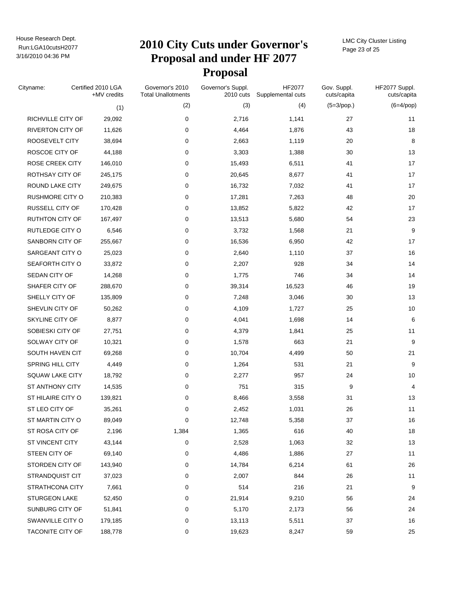# Run:LGA10cutsH2077 **2010 City Cuts under Governor's Proposal and under HF 2077 Proposal**

LMC City Cluster Listing Page 23 of 25

| Cityname:              | Certified 2010 LGA<br>+MV credits | Governor's 2010<br><b>Total Unallotments</b> | Governor's Suppl.<br>2010 cuts | HF2077<br>Supplemental cuts | Gov. Suppl.<br>cuts/capita | HF2077 Suppl.<br>cuts/capita |
|------------------------|-----------------------------------|----------------------------------------------|--------------------------------|-----------------------------|----------------------------|------------------------------|
|                        | (1)                               | (2)                                          | (3)                            | (4)                         | $(5=3$ /pop.)              | $(6=4$ /pop)                 |
| RICHVILLE CITY OF      | 29,092                            | 0                                            | 2,716                          | 1,141                       | 27                         | 11                           |
| RIVERTON CITY OF       | 11,626                            | 0                                            | 4,464                          | 1,876                       | 43                         | 18                           |
| ROOSEVELT CITY         | 38,694                            | 0                                            | 2,663                          | 1,119                       | 20                         | 8                            |
| ROSCOE CITY OF         | 44,188                            | 0                                            | 3,303                          | 1,388                       | 30                         | 13                           |
| <b>ROSE CREEK CITY</b> | 146,010                           | 0                                            | 15,493                         | 6,511                       | 41                         | 17                           |
| ROTHSAY CITY OF        | 245,175                           | 0                                            | 20,645                         | 8,677                       | 41                         | 17                           |
| ROUND LAKE CITY        | 249,675                           | 0                                            | 16,732                         | 7,032                       | 41                         | 17                           |
| RUSHMORE CITY O        | 210,383                           | 0                                            | 17,281                         | 7,263                       | 48                         | 20                           |
| RUSSELL CITY OF        | 170,428                           | 0                                            | 13,852                         | 5,822                       | 42                         | 17                           |
| RUTHTON CITY OF        | 167,497                           | 0                                            | 13,513                         | 5,680                       | 54                         | 23                           |
| RUTLEDGE CITY O        | 6,546                             | 0                                            | 3,732                          | 1,568                       | 21                         | 9                            |
| SANBORN CITY OF        | 255,667                           | 0                                            | 16,536                         | 6,950                       | 42                         | 17                           |
| SARGEANT CITY O        | 25,023                            | 0                                            | 2,640                          | 1,110                       | 37                         | 16                           |
| SEAFORTH CITY O        | 33,872                            | 0                                            | 2,207                          | 928                         | 34                         | 14                           |
| SEDAN CITY OF          | 14,268                            | 0                                            | 1,775                          | 746                         | 34                         | 14                           |
| SHAFER CITY OF         | 288,670                           | 0                                            | 39,314                         | 16,523                      | 46                         | 19                           |
| SHELLY CITY OF         | 135,809                           | 0                                            | 7,248                          | 3,046                       | 30                         | 13                           |
| SHEVLIN CITY OF        | 50,262                            | 0                                            | 4,109                          | 1,727                       | 25                         | 10                           |
| SKYLINE CITY OF        | 8,877                             | 0                                            | 4,041                          | 1,698                       | 14                         | 6                            |
| SOBIESKI CITY OF       | 27,751                            | 0                                            | 4,379                          | 1,841                       | 25                         | 11                           |
| SOLWAY CITY OF         | 10,321                            | 0                                            | 1,578                          | 663                         | 21                         | 9                            |
| SOUTH HAVEN CIT        | 69,268                            | 0                                            | 10,704                         | 4,499                       | 50                         | 21                           |
| SPRING HILL CITY       | 4,449                             | 0                                            | 1,264                          | 531                         | 21                         | 9                            |
| <b>SQUAW LAKE CITY</b> | 18,792                            | 0                                            | 2,277                          | 957                         | 24                         | 10                           |
| ST ANTHONY CITY        | 14,535                            | 0                                            | 751                            | 315                         | 9                          | 4                            |
| ST HILAIRE CITY O      | 139,821                           | 0                                            | 8,466                          | 3,558                       | 31                         | 13                           |
| ST LEO CITY OF         | 35,261                            | 0                                            | 2,452                          | 1,031                       | 26                         | 11                           |
| ST MARTIN CITY O       | 89,049                            | 0                                            | 12,748                         | 5,358                       | 37                         | 16                           |
| ST ROSA CITY OF        | 2,196                             | 1,384                                        | 1,365                          | 616                         | 40                         | 18                           |
| ST VINCENT CITY        | 43,144                            | 0                                            | 2,528                          | 1,063                       | 32                         | 13                           |
| STEEN CITY OF          | 69,140                            | 0                                            | 4,486                          | 1,886                       | 27                         | 11                           |
| STORDEN CITY OF        | 143,940                           | 0                                            | 14,784                         | 6,214                       | 61                         | 26                           |
| STRANDQUIST CIT        | 37,023                            | 0                                            | 2,007                          | 844                         | 26                         | 11                           |
| STRATHCONA CITY        | 7,661                             | 0                                            | 514                            | 216                         | 21                         | 9                            |
| <b>STURGEON LAKE</b>   | 52,450                            | 0                                            | 21,914                         | 9,210                       | 56                         | 24                           |
| SUNBURG CITY OF        | 51,841                            | 0                                            | 5,170                          | 2,173                       | 56                         | 24                           |
| SWANVILLE CITY O       | 179,185                           | 0                                            | 13,113                         | 5,511                       | 37                         | 16                           |
| TACONITE CITY OF       | 188,778                           | 0                                            | 19,623                         | 8,247                       | 59                         | 25                           |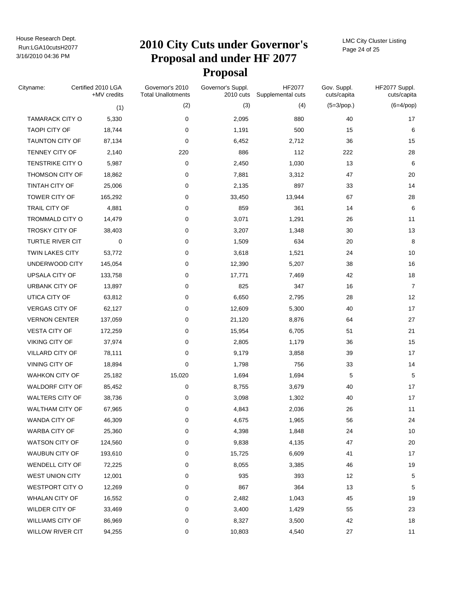# Run:LGA10cutsH2077 **2010 City Cuts under Governor's Proposal and under HF 2077 Proposal**

LMC City Cluster Listing Page 24 of 25

| Cityname:               | Certified 2010 LGA<br>+MV credits | Governor's 2010<br><b>Total Unallotments</b> | Governor's Suppl.<br>2010 cuts | HF2077<br>Supplemental cuts | Gov. Suppl.<br>cuts/capita | HF2077 Suppl.<br>cuts/capita |
|-------------------------|-----------------------------------|----------------------------------------------|--------------------------------|-----------------------------|----------------------------|------------------------------|
|                         | (1)                               | (2)                                          | (3)                            | (4)                         | $(5=3$ /pop.)              | $(6=4$ /pop)                 |
| <b>TAMARACK CITY O</b>  | 5,330                             | 0                                            | 2,095                          | 880                         | 40                         | 17                           |
| <b>TAOPI CITY OF</b>    | 18,744                            | 0                                            | 1,191                          | 500                         | 15                         | 6                            |
| <b>TAUNTON CITY OF</b>  | 87,134                            | 0                                            | 6,452                          | 2,712                       | 36                         | 15                           |
| TENNEY CITY OF          | 2,140                             | 220                                          | 886                            | 112                         | 222                        | 28                           |
| TENSTRIKE CITY O        | 5,987                             | 0                                            | 2,450                          | 1,030                       | 13                         | 6                            |
| THOMSON CITY OF         | 18,862                            | 0                                            | 7,881                          | 3,312                       | 47                         | 20                           |
| TINTAH CITY OF          | 25,006                            | 0                                            | 2,135                          | 897                         | 33                         | 14                           |
| TOWER CITY OF           | 165,292                           | 0                                            | 33,450                         | 13,944                      | 67                         | 28                           |
| TRAIL CITY OF           | 4,881                             | 0                                            | 859                            | 361                         | 14                         | 6                            |
| TROMMALD CITY O         | 14,479                            | 0                                            | 3,071                          | 1,291                       | 26                         | 11                           |
| TROSKY CITY OF          | 38,403                            | 0                                            | 3,207                          | 1,348                       | 30                         | 13                           |
| TURTLE RIVER CIT        | 0                                 | 0                                            | 1,509                          | 634                         | 20                         | 8                            |
| <b>TWIN LAKES CITY</b>  | 53,772                            | 0                                            | 3,618                          | 1,521                       | 24                         | 10                           |
| UNDERWOOD CITY          | 145,054                           | 0                                            | 12,390                         | 5,207                       | 38                         | 16                           |
| UPSALA CITY OF          | 133,758                           | 0                                            | 17,771                         | 7,469                       | 42                         | 18                           |
| URBANK CITY OF          | 13,897                            | 0                                            | 825                            | 347                         | 16                         | $\overline{7}$               |
| UTICA CITY OF           | 63,812                            | 0                                            | 6,650                          | 2,795                       | 28                         | 12                           |
| <b>VERGAS CITY OF</b>   | 62,127                            | 0                                            | 12,609                         | 5,300                       | 40                         | 17                           |
| <b>VERNON CENTER</b>    | 137,059                           | 0                                            | 21,120                         | 8,876                       | 64                         | 27                           |
| <b>VESTA CITY OF</b>    | 172,259                           | 0                                            | 15,954                         | 6,705                       | 51                         | 21                           |
| VIKING CITY OF          | 37,974                            | 0                                            | 2,805                          | 1,179                       | 36                         | 15                           |
| VILLARD CITY OF         | 78,111                            | 0                                            | 9,179                          | 3,858                       | 39                         | 17                           |
| VINING CITY OF          | 18,894                            | $\mathbf 0$                                  | 1,798                          | 756                         | 33                         | 14                           |
| <b>WAHKON CITY OF</b>   | 25,182                            | 15,020                                       | 1,694                          | 1,694                       | 5                          | $\mathbf 5$                  |
| WALDORF CITY OF         | 85,452                            | 0                                            | 8,755                          | 3,679                       | 40                         | 17                           |
| <b>WALTERS CITY OF</b>  | 38,736                            | 0                                            | 3,098                          | 1,302                       | 40                         | 17                           |
| <b>WALTHAM CITY OF</b>  | 67,965                            | 0                                            | 4,843                          | 2,036                       | 26                         | 11                           |
| WANDA CITY OF           | 46,309                            | 0                                            | 4,675                          | 1,965                       | 56                         | 24                           |
| WARBA CITY OF           | 25,360                            | 0                                            | 4,398                          | 1,848                       | 24                         | 10                           |
| <b>WATSON CITY OF</b>   | 124,560                           | 0                                            | 9,838                          | 4,135                       | 47                         | $20\,$                       |
| WAUBUN CITY OF          | 193,610                           | 0                                            | 15,725                         | 6,609                       | 41                         | 17                           |
| WENDELL CITY OF         | 72,225                            | 0                                            | 8,055                          | 3,385                       | 46                         | 19                           |
| <b>WEST UNION CITY</b>  | 12,001                            | 0                                            | 935                            | 393                         | 12                         | 5                            |
| <b>WESTPORT CITY O</b>  | 12,269                            | 0                                            | 867                            | 364                         | 13                         | 5                            |
| <b>WHALAN CITY OF</b>   | 16,552                            | 0                                            | 2,482                          | 1,043                       | 45                         | 19                           |
| WILDER CITY OF          | 33,469                            | 0                                            | 3,400                          | 1,429                       | 55                         | 23                           |
| <b>WILLIAMS CITY OF</b> | 86,969                            | 0                                            | 8,327                          | 3,500                       | 42                         | 18                           |
| WILLOW RIVER CIT        | 94,255                            | 0                                            | 10,803                         | 4,540                       | 27                         | 11                           |